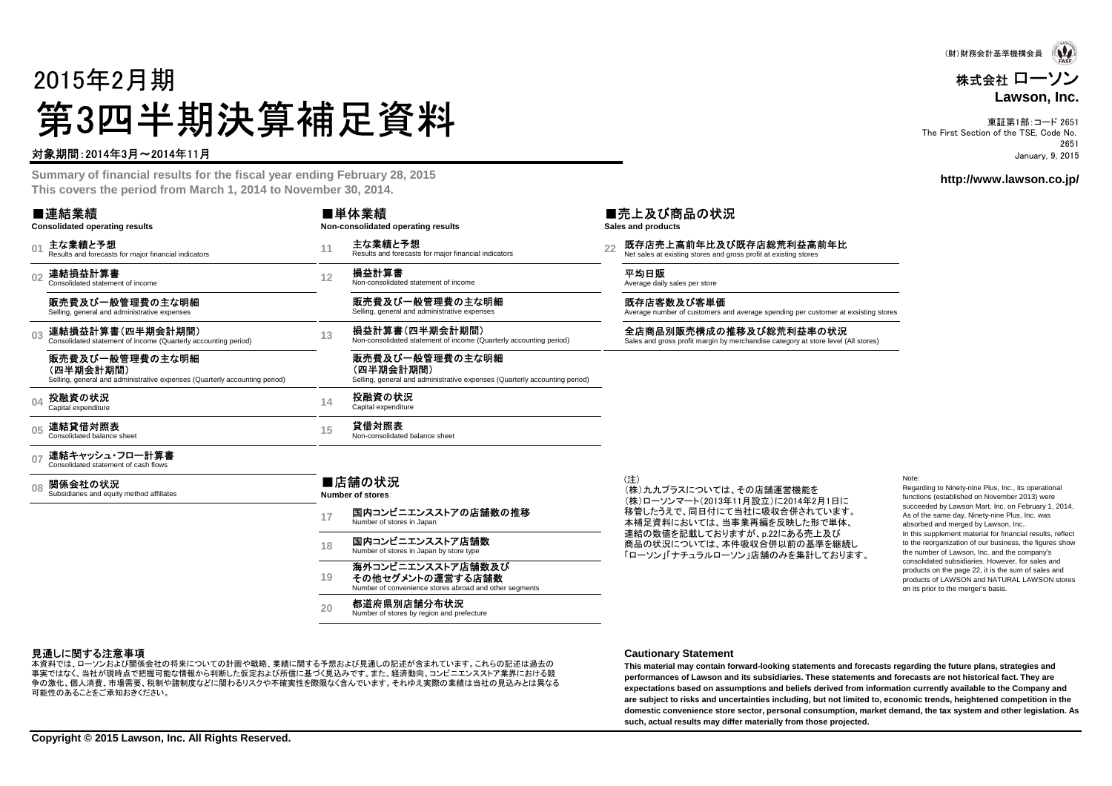# 2015年2月期第3四半期決算補足資料

#### 対象期間:2014年3月~2014年11月

or the ficeal vear ending Eabruary 28 2 **Summary of financial results for the fiscal year ending February 28, 2015 This covers the period from March 1, 2014 to November 30, 2014.**

|                                  | ■連結業績<br><b>Consolidated operating results</b>                                                             |                                                                  | ■単体業績<br>Non-consolidated operating results                                                                |  | ■売上及び商品の状況<br>Sales and products                                                                            |
|----------------------------------|------------------------------------------------------------------------------------------------------------|------------------------------------------------------------------|------------------------------------------------------------------------------------------------------------|--|-------------------------------------------------------------------------------------------------------------|
| 0 <sup>1</sup>                   | 主な業績と予想<br>Results and forecasts for major financial indicators                                            | 11                                                               | 主な業績と予想<br>Results and forecasts for major financial indicators                                            |  | 既存店売上高前年比及び既存店総荒利益高前年比<br>Net sales at existing stores and gross profit at existing stores                  |
| 0 <sub>2</sub>                   | 連結損益計算書<br>Consolidated statement of income                                                                | 12                                                               | 損益計算書<br>Non-consolidated statement of income                                                              |  | 平均日販<br>Average daily sales per store                                                                       |
|                                  | 販売費及び一般管理費の主な明細<br>Selling, general and administrative expenses                                            |                                                                  | 販売費及び一般管理費の主な明細<br>Selling, general and administrative expenses                                            |  | 既存店客数及び客単価<br>Average number of customers and average spending per customer at exsisting stores             |
| 0 <sub>3</sub><br>04<br>05<br>07 | 連結損益計算書(四半期会計期間)<br>Consolidated statement of income (Quarterly accounting period)                         | 13                                                               | 損益計算書(四半期会計期間)<br>Non-consolidated statement of income (Quarterly accounting period)                       |  | 全店商品別販売構成の推移及び総荒利益率の状況<br>Sales and gross profit margin by merchandise category at store level (All stores) |
|                                  | 販売費及び一般管理費の主な明細<br>(四半期会計期間)<br>Selling, general and administrative expenses (Quarterly accounting period) |                                                                  | 販売費及び一般管理費の主な明細<br>(四半期会計期間)<br>Selling, general and administrative expenses (Quarterly accounting period) |  |                                                                                                             |
|                                  | 投融資の状況<br>Capital expenditure                                                                              | 14                                                               | 投融資の状況<br>Capital expenditure                                                                              |  |                                                                                                             |
|                                  | 連結貸借対照表<br>Consolidated balance sheet                                                                      | 15                                                               | 貸借対照表<br>Non-consolidated balance sheet                                                                    |  |                                                                                                             |
|                                  | 連結キャッシュ・フロー計算書<br>Consolidated statement of cash flows                                                     |                                                                  |                                                                                                            |  |                                                                                                             |
| 08                               | 関係会社の状況<br>Subsidiaries and equity method affiliates                                                       |                                                                  | ■店舗の状況<br><b>Number of stores</b>                                                                          |  | (注)<br>(株)九九プラスについては、その店舗運営機能を<br>(株)ローソンマート(2013年11月設立)に2014年2月1日に                                         |
|                                  |                                                                                                            | 17                                                               | 国内コンビニエンスストアの店舗数の推移<br>Number of stores in Japan                                                           |  | 移管したうえで、同日付にて当社に吸収合併されています。<br>本補足資料においては、当事業再編を反映した形で単体、                                                   |
|                                  |                                                                                                            | 国内コンビニエンスストア店舗数<br>18<br>Number of stores in Japan by store type |                                                                                                            |  | 連結の数値を記載しておりますが、p.22にある売上及び<br>商品の状況については、本件吸収合併以前の基準を継続し<br>「ローソン」「ナチュラルローソン」店舗のみを集計しております。                |
|                                  |                                                                                                            | 19                                                               | 海外コンビニエンスストア店舗数及び<br>その他セグメントの運営する店舗数<br>Number of convenience stores abroad and other segments            |  |                                                                                                             |
|                                  |                                                                                                            | 20                                                               | 都道府県別店舗分布状況                                                                                                |  |                                                                                                             |

Number of stores by region and prefecture

Note:

 Regarding to Ninety-nine Plus, Inc., its operational functions (established on November 2013) were succeeded by Lawson Mart, Inc. on February 1, 2014.As of the same day, Ninety-nine Plus, Inc. was absorbed and merged by Lawson, Inc.. In this supplement material for financial results, reflect to the reorganization of our business, the figures show the number of Lawson, Inc. and the company's consolidated subsidiaries. However, for sales and products on the page 22, it is the sum of sales and products of LAWSON and NATURAL LAWSON stores on its prior to the merger's basis.

#### 見通しに関する注意事項

 事実ではなく、当社が現時点で把握可能な情報から判断した仮定および所信に基づく見込みです。また、経済動向、コンビニエンスストア業界における競本資料では、ローソンおよび関係会社の将来についての計画や戦略、業績に関する予想および見通しの記述が含まれています。これらの記述は過去の 争の激化、個人消費、市場需要、税制や諸制度などに関わるリスクや不確実性を際限なく含んでいます。それゆえ実際の業績は当社の見込みとは異なる可能性のあることをご承知おきください。

#### **Cautionary Statement**

 **This material may contain forward-looking statements and forecasts regarding the future plans, strategies and performances of Lawson and its subsidiaries. These statements and forecasts are not historical fact. They are expectations based on assumptions and beliefs derived from information currently available to the Company and are subject to risks and uncertainties including, but not limited to, economic trends, heightened competition in the domestic convenience store sector, personal consumption, market demand, the tax system and other legislation. As such, actual results may differ materially from those projected.**

**Copyright © 2015 Lawson, Inc. All Rights Reserved.**



#### 株式会社 ローソン**Lawson, Inc.**

東証第1部:コード 2651 The First Section of the TSE, Code No. 2651January, 9, 2015

#### **http://www.lawson.co.jp/**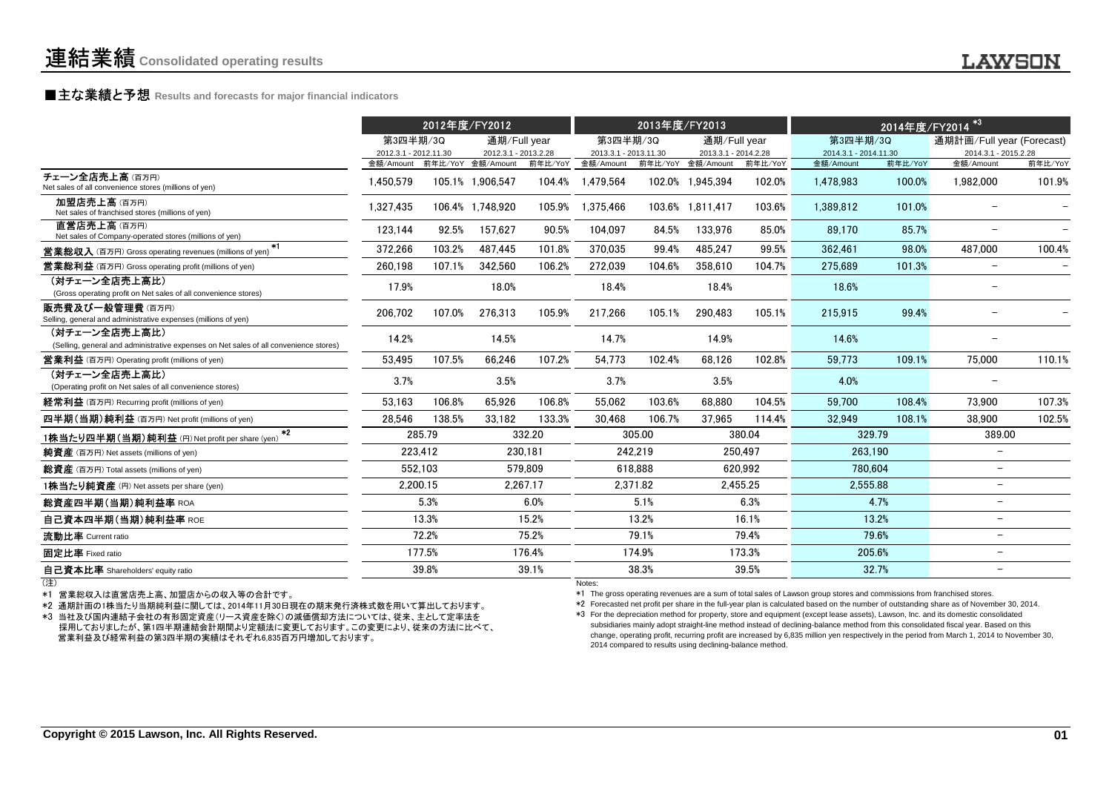### **■主な業績と予想** Results and forecasts for major financial indicators<br>
————————————————————

|                                                                                                        |                                    | 2012年度/FY2012 |                                           |          | 2013年度/FY2013                      |          |                                           | 2014年度/FY2014 <sup>*3</sup> |                                    |         |                                   |         |  |
|--------------------------------------------------------------------------------------------------------|------------------------------------|---------------|-------------------------------------------|----------|------------------------------------|----------|-------------------------------------------|-----------------------------|------------------------------------|---------|-----------------------------------|---------|--|
|                                                                                                        | 第3四半期/3Q                           |               | 通期/Full year                              |          | 第3四半期/3Q                           |          | 通期/Full year                              |                             | 第3四半期/3Q                           |         | 通期計画/Full year (Forecast)         |         |  |
|                                                                                                        | 2012.3.1 - 2012.11.30<br>金額/Amount |               | 2012.3.1 - 2013.2.28<br>前年比/YoY 金額/Amount | 前年比/YoY  | 2013.3.1 - 2013.11.30<br>金額/Amount |          | 2013.3.1 - 2014.2.28<br>前年比/YoY 金額/Amount | 前年比/YoY                     | 2014.3.1 - 2014.11.30<br>金額/Amount | 前年比/YoY | 2014.3.1 - 2015.2.28<br>金額/Amount | 前年比/YoY |  |
| チェーン全店売上高(百万円)<br>Net sales of all convenience stores (millions of yen)                                | 1,450,579                          |               | 105.1% 1,906,547                          | 104.4%   | 1.479.564                          |          | 102.0% 1.945.394                          | 102.0%                      | 1.478.983                          | 100.0%  | 1,982,000                         | 101.9%  |  |
| 加盟店売上高(百万円)<br>Net sales of franchised stores (millions of yen)                                        | 1.327.435                          |               | 106.4% 1.748.920                          | 105.9%   | 1.375.466                          |          | 103.6% 1.811.417                          | 103.6%                      | 1.389.812                          | 101.0%  |                                   |         |  |
| 直営店売上高(百万円)<br>Net sales of Company-operated stores (millions of yen)                                  | 123,144                            | 92.5%         | 157,627                                   | 90.5%    | 104,097                            | 84.5%    | 133.976                                   | 85.0%                       | 89.170                             | 85.7%   | $\overline{\phantom{m}}$          |         |  |
| $*1$<br><b>営業総収入</b> (百万円) Gross operating revenues (millions of yen)                                  | 372,266                            | 103.2%        | 487,445                                   | 101.8%   | 370.035                            | 99.4%    | 485.247                                   | 99.5%                       | 362.461                            | 98.0%   | 487,000                           | 100.4%  |  |
| <b>営業総利益</b> (百万円) Gross operating profit (millions of yen)                                            | 260,198                            | 107.1%        | 342,560                                   | 106.2%   | 272,039                            | 104.6%   | 358.610                                   | 104.7%                      | 275.689                            | 101.3%  | $\overline{\phantom{0}}$          |         |  |
| (対チェーン全店売上高比)<br>(Gross operating profit on Net sales of all convenience stores)                       | 17.9%                              |               | 18.0%                                     |          | 18.4%                              |          | 18.4%                                     |                             | 18.6%                              |         |                                   |         |  |
| 販売費及び一般管理費(百万円)<br>Selling, general and administrative expenses (millions of yen)                      | 206,702                            | 107.0%        | 276,313                                   | 105.9%   | 217,266                            | 105.1%   | 290,483                                   | 105.1%                      | 215,915                            | 99.4%   |                                   |         |  |
| (対チェーン全店売上高比)<br>(Selling, general and administrative expenses on Net sales of all convenience stores) | 14.2%                              |               | 14.5%                                     |          | 14.7%                              |          | 14.9%                                     |                             | 14.6%                              |         |                                   |         |  |
| <b>営業利益</b> (百万円) Operating profit (millions of yen)                                                   | 53.495                             | 107.5%        | 66.246                                    | 107.2%   | 54.773                             | 102.4%   | 68.126                                    | 102.8%                      | 59.773                             | 109.1%  | 75,000                            | 110.1%  |  |
| (対チェーン全店売上高比)<br>(Operating profit on Net sales of all convenience stores)                             | 3.7%                               |               | 3.5%                                      |          | 3.7%                               |          | 3.5%                                      |                             | 4.0%                               |         | $\overline{\phantom{a}}$          |         |  |
| 経常利益 (百万円) Recurring profit (millions of yen)                                                          | 53.163                             | 106.8%        | 65,926                                    | 106.8%   | 55,062                             | 103.6%   | 68.880                                    | 104.5%                      | 59.700                             | 108.4%  | 73.900                            | 107.3%  |  |
| 四半期(当期)純利益 (百万円) Net profit (millions of yen)                                                          | 28,546                             | 138.5%        | 33,182                                    | 133.3%   | 30.468                             | 106.7%   | 37.965                                    | 114.4%                      | 32.949                             | 108.1%  | 38,900                            | 102.5%  |  |
| $*2$<br>1株当たり四半期(当期)純利益 (円) Net profit per share (yen)                                                 |                                    | 285.79        |                                           | 332.20   |                                    | 305.00   |                                           | 380.04                      | 329.79                             |         | 389.00                            |         |  |
| 純資産 (百万円) Net assets (millions of yen)                                                                 |                                    | 223.412       |                                           | 230.181  |                                    | 242,219  |                                           | 250,497                     | 263.190                            |         | $\overline{\phantom{m}}$          |         |  |
| 総資産 (百万円) Total assets (millions of yen)                                                               |                                    | 552.103       |                                           | 579.809  |                                    | 618.888  |                                           | 620.992                     | 780.604                            |         | $\overline{\phantom{m}}$          |         |  |
| 1株当たり純資産 (円) Net assets per share (yen)                                                                |                                    | 2.200.15      |                                           | 2.267.17 |                                    | 2.371.82 |                                           | 2.455.25                    | 2.555.88                           |         | $\overline{\phantom{m}}$          |         |  |
| 総資産四半期(当期)純利益率 ROA                                                                                     |                                    | 5.3%          |                                           | 6.0%     |                                    | 5.1%     |                                           | 6.3%                        |                                    | 4.7%    | $\overline{\phantom{m}}$          |         |  |
| 自己資本四半期(当期)純利益率 ROE                                                                                    |                                    | 13.3%         |                                           | 15.2%    |                                    | 13.2%    |                                           | 16.1%                       |                                    | 13.2%   | $\overline{\phantom{m}}$          |         |  |
| 流動比率 Current ratio                                                                                     |                                    | 72.2%         |                                           | 75.2%    |                                    | 79.1%    |                                           | 79.4%                       |                                    | 79.6%   | $\overline{\phantom{0}}$          |         |  |
| 固定比率 Fixed ratio                                                                                       |                                    | 177.5%        |                                           | 176.4%   |                                    | 174.9%   |                                           | 173.3%                      |                                    | 205.6%  | $\overline{\phantom{a}}$          |         |  |
| 自己資本比率 Shareholders' equity ratio                                                                      |                                    | 39.8%         |                                           | 39.1%    |                                    | 38.3%    |                                           | 39.5%                       |                                    | 32.7%   | $\overline{\phantom{0}}$          |         |  |
|                                                                                                        |                                    |               |                                           |          |                                    |          |                                           |                             |                                    |         |                                   |         |  |

(注)

\*1 営業総収入は直営店売上高、加盟店からの収入等の合計です。

\*2 通期計画の1株当たり当期純利益に関しては、2014年11月30日現在の期末発行済株式数を用いて算出しております。

 \*3 当社及び国内連結子会社の有形固定資産(リース資産を除く)の減価償却方法については、従来、主として定率法を 採用しておりましたが、第1四半期連結会計期間より定額法に変更しております。この変更により、従来の方法に比べて、営業利益及び経常利益の第3四半期の実績はそれぞれ6,835百万円増加しております。

Notes:

\*1 The gross operating revenues are a sum of total sales of Lawson group stores and commissions from franchised stores.

\*2 Forecasted net profit per share in the full-year plan is calculated based on the number of outstanding share as of November 30, 2014.

\*3 For the depreciation method for property, store and equipment (except lease assets), Lawson, Inc. and its domestic consolidated subsidiaries mainly adopt straight-line method instead of declining-balance method from this consolidated fiscal year. Based on this change, operating profit, recurring profit are increased by 6,835 million yen respectively in the period from March 1, 2014 to November 30,2014 compared to results using declining-balance method.

**LAWSON**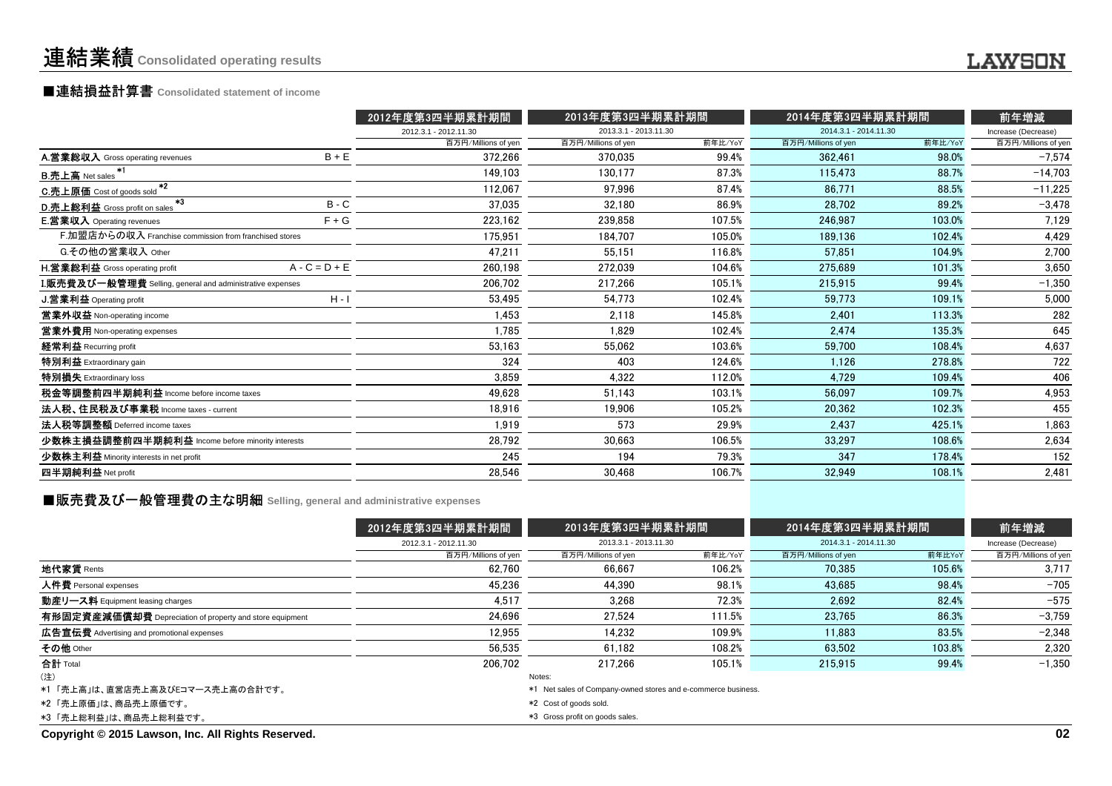# ■連結損益計算書 **Consolidated statement of income**

|                                                                  |                 | 2012年度第3四半期累計期間       | 2013年度第3四半期累計期間       |         | 2014年度第3四半期累計期間       |         | 前年増減                |
|------------------------------------------------------------------|-----------------|-----------------------|-----------------------|---------|-----------------------|---------|---------------------|
|                                                                  |                 | 2012.3.1 - 2012.11.30 | 2013.3.1 - 2013.11.30 |         | 2014.3.1 - 2014.11.30 |         | Increase (Decrease) |
|                                                                  |                 | 百万円/Millions of yen   | 百万円/Millions of yen   | 前年比/YoY | 百万円/Millions of yen   | 前年比/YoY | 百万円/Millions of yen |
| A.営業総収入 Gross operating revenues                                 | $B + E$         | 372,266               | 370.035               | 99.4%   | 362,461               | 98.0%   | $-7,574$            |
| <b>B.売上高</b> Net sales                                           |                 | 149.103               | 130.177               | 87.3%   | 115.473               | 88.7%   | $-14,703$           |
| $+2$<br>C.売上原価 Cost of goods sold                                |                 | 112,067               | 97.996                | 87.4%   | 86.771                | 88.5%   | $-11,225$           |
| $*3$<br>D.売上総利益 Gross profit on sales                            | $B - C$         | 37,035                | 32.180                | 86.9%   | 28,702                | 89.2%   | $-3,478$            |
| <b>E.営業収入</b> Operating revenues                                 | $F + G$         | 223,162               | 239.858               | 107.5%  | 246.987               | 103.0%  | 7,129               |
| F.加盟店からの収入 Franchise commission from franchised stores           |                 | 175.951               | 184.707               | 105.0%  | 189.136               | 102.4%  | 4,429               |
| G.その他の営業収入 Other                                                 |                 | 47,211                | 55.151                | 116.8%  | 57.851                | 104.9%  | 2,700               |
| H.営業総利益 Gross operating profit                                   | $A - C = D + E$ | 260,198               | 272.039               | 104.6%  | 275.689               | 101.3%  | 3,650               |
| <b>I.販売費及び一般管理費</b> Selling, general and administrative expenses |                 | 206,702               | 217.266               | 105.1%  | 215.915               | 99.4%   | $-1,350$            |
| <b>J.営業利益 Operating profit</b>                                   | $H - I$         | 53,495                | 54,773                | 102.4%  | 59.773                | 109.1%  | 5,000               |
| 営業外収益 Non-operating income                                       |                 | 1,453                 | 2,118                 | 145.8%  | 2.401                 | 113.3%  | 282                 |
| 営業外費用 Non-operating expenses                                     |                 | 1,785                 | 1.829                 | 102.4%  | 2.474                 | 135.3%  | 645                 |
| 経常利益 Recurring profit                                            |                 | 53,163                | 55,062                | 103.6%  | 59.700                | 108.4%  | 4,637               |
| 特別利益 Extraordinary gain                                          |                 | 324                   | 403                   | 124.6%  | 1.126                 | 278.8%  | 722                 |
| 特別損失 Extraordinary loss                                          |                 | 3,859                 | 4,322                 | 112.0%  | 4,729                 | 109.4%  | 406                 |
| 税金等調整前四半期純利益 Income before income taxes                          |                 | 49.628                | 51.143                | 103.1%  | 56.097                | 109.7%  | 4,953               |
| 法人税、住民税及び事業税 Income taxes - current                              |                 | 18,916                | 19,906                | 105.2%  | 20,362                | 102.3%  | 455                 |
| 法人税等調整額 Deferred income taxes                                    |                 | 1.919                 | 573                   | 29.9%   | 2.437                 | 425.1%  | 1,863               |
| 少数株主損益調整前四半期純利益 Income before minority interests                 |                 | 28,792                | 30.663                | 106.5%  | 33,297                | 108.6%  | 2,634               |
| 少数株主利益 Minority interests in net profit                          |                 | 245                   | 194                   | 79.3%   | 347                   | 178.4%  | 152                 |
| 四半期純利益 Net profit                                                |                 | 28,546                | 30,468                | 106.7%  | 32,949                | 108.1%  | 2,481               |
|                                                                  |                 |                       |                       |         |                       |         |                     |

**■販売費及び一般管理費の主な明細** Selling, general and administrative expenses

|                                                          | 2012年度第3四半期累計期間       | 2013年度第3四半期累計期間                                               |         | 2014年度第3四半期累計期間       | 前年増減   |                     |  |
|----------------------------------------------------------|-----------------------|---------------------------------------------------------------|---------|-----------------------|--------|---------------------|--|
|                                                          | 2012.3.1 - 2012.11.30 | 2013.3.1 - 2013.11.30                                         |         | 2014.3.1 - 2014.11.30 |        | Increase (Decrease) |  |
|                                                          | 百万円/Millions of yen   | 百万円/Millions of yen                                           | 前年比/YoY | 百万円/Millions of yen   | 前年比YoY | 百万円/Millions of yen |  |
| 地代家賃 Rents                                               | 62.760                | 66.667                                                        | 106.2%  | 70.385                | 105.6% | 3,717               |  |
| 人件費 Personal expenses                                    | 45.236                | 44.390                                                        | 98.1%   | 43.685                | 98.4%  | $-705$              |  |
| 動産リース料 Equipment leasing charges                         | 4.517                 | 3.268                                                         | 72.3%   | 2.692                 | 82.4%  | $-575$              |  |
| 有形固定資産減価償却費 Depreciation of property and store equipment | 24.696                | 27.524                                                        | 111.5%  | 23.765                | 86.3%  | $-3,759$            |  |
| 広告宣伝費 Advertising and promotional expenses               | 12.955                | 14.232                                                        | 109.9%  | 11.883                | 83.5%  | $-2,348$            |  |
| その他 Other                                                | 56.535                | 61.182                                                        | 108.2%  | 63.502                | 103.8% | 2,320               |  |
| 合計 Total                                                 | 206.702               | 217.266                                                       | 105.1%  | 215.915               | 99.4%  | $-1.350$            |  |
| (注)                                                      |                       | Notes:                                                        |         |                       |        |                     |  |
| *1 「売上高」は、直営店売上高及びEコマース売上高の合計です。                         |                       | *1 Net sales of Company-owned stores and e-commerce business. |         |                       |        |                     |  |
| *2「売上原価」は、商品売上原価です。                                      |                       | *2 Cost of goods sold.                                        |         |                       |        |                     |  |
| *3「売上総利益」は、商品売上総利益です。                                    |                       | *3 Gross profit on goods sales.                               |         |                       |        |                     |  |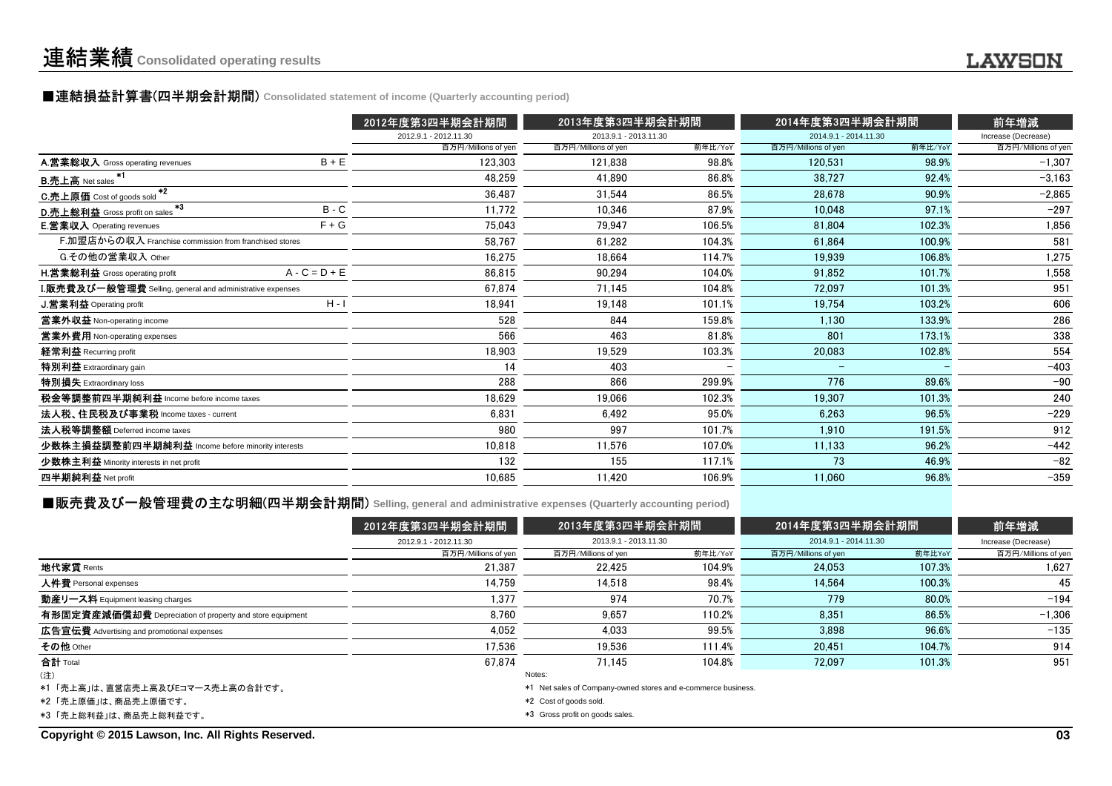### ■連結損益計算書(四半期会計期間) **Consolidated statement of income (Quarterly accounting period)**

|                                                           |                 | 2012年度第3四半期会計期間       | 2013年度第3四半期会計期間       |         | 2014年度第3四半期会計期間          |         | 前年増減                |
|-----------------------------------------------------------|-----------------|-----------------------|-----------------------|---------|--------------------------|---------|---------------------|
|                                                           |                 | 2012.9.1 - 2012.11.30 | 2013.9.1 - 2013.11.30 |         | 2014.9.1 - 2014.11.30    |         | Increase (Decrease) |
|                                                           |                 | 百万円/Millions of yen   | 百万円/Millions of yen   | 前年比/YoY | 百万円/Millions of yen      | 前年比/YoY | 百万円/Millions of yen |
| A.営業総収入 Gross operating revenues                          | $B + E$         | 123,303               | 121,838               | 98.8%   | 120,531                  | 98.9%   | $-1,307$            |
| <b>B.売上高</b> Net sales                                    |                 | 48,259                | 41.890                | 86.8%   | 38.727                   | 92.4%   | $-3,163$            |
| $*2$<br>C.売上原価 Cost of goods sold                         |                 | 36.487                | 31.544                | 86.5%   | 28.678                   | 90.9%   | $-2,865$            |
| $*3$<br>D.売上総利益 Gross profit on sales                     | $B - C$         | 11,772                | 10.346                | 87.9%   | 10.048                   | 97.1%   | $-297$              |
| <b>E.営業収入</b> Operating revenues                          | $F + G$         | 75,043                | 79.947                | 106.5%  | 81,804                   | 102.3%  | 1,856               |
| F.加盟店からの収入 Franchise commission from franchised stores    |                 | 58,767                | 61.282                | 104.3%  | 61.864                   | 100.9%  | 581                 |
| G.その他の営業収入 Other                                          |                 | 16,275                | 18.664                | 114.7%  | 19.939                   | 106.8%  | 1,275               |
| H.営業総利益 Gross operating profit                            | $A - C = D + E$ | 86,815                | 90,294                | 104.0%  | 91,852                   | 101.7%  | 1,558               |
| I.販売費及び一般管理費 Selling, general and administrative expenses |                 | 67,874                | 71.145                | 104.8%  | 72.097                   | 101.3%  | 951                 |
| J.営業利益 Operating profit                                   | $H - I$         | 18,941                | 19,148                | 101.1%  | 19,754                   | 103.2%  | 606                 |
| 営業外収益 Non-operating income                                |                 | 528                   | 844                   | 159.8%  | 1.130                    | 133.9%  | 286                 |
| 営業外費用 Non-operating expenses                              |                 | 566                   | 463                   | 81.8%   | 801                      | 173.1%  | 338                 |
| 経常利益 Recurring profit                                     |                 | 18,903                | 19.529                | 103.3%  | 20,083                   | 102.8%  | 554                 |
| 特別利益 Extraordinary gain                                   |                 | 14                    | 403                   |         | $\overline{\phantom{a}}$ |         | $-403$              |
| 特別損失 Extraordinary loss                                   |                 | 288                   | 866                   | 299.9%  | 776                      | 89.6%   | $-90$               |
| 税金等調整前四半期純利益 Income before income taxes                   |                 | 18.629                | 19.066                | 102.3%  | 19,307                   | 101.3%  | 240                 |
| 法人税、住民税及び事業税 Income taxes - current                       |                 | 6,831                 | 6.492                 | 95.0%   | 6,263                    | 96.5%   | $-229$              |
| 法人税等調整額 Deferred income taxes                             |                 | 980                   | 997                   | 101.7%  | 1.910                    | 191.5%  | 912                 |
| 少数株主損益調整前四半期純利益 Income before minority interests          |                 | 10,818                | 11,576                | 107.0%  | 11,133                   | 96.2%   | $-442$              |
| 少数株主利益 Minority interests in net profit                   |                 | 132                   | 155                   | 117.1%  | 73                       | 46.9%   | $-82$               |
| 四半期純利益 Net profit                                         |                 | 10,685                | 11,420                | 106.9%  | 11,060                   | 96.8%   | $-359$              |
|                                                           |                 |                       |                       |         |                          |         |                     |

#### ■販売費及び一般管理費の主な明細(四半期会計期間) Selling, general and administrative expenses (Quarterly accounting period)

|                                                          | 2012年度第3四半期会計期間        | 2013年度第3四半期会計期間                                               |         | 2014年度第3四半期会計期間       | 前年増減   |                     |
|----------------------------------------------------------|------------------------|---------------------------------------------------------------|---------|-----------------------|--------|---------------------|
|                                                          | 2012.9.1 - 2012.11.30  | 2013.9.1 - 2013.11.30                                         |         | 2014.9.1 - 2014.11.30 |        | Increase (Decrease) |
|                                                          | 百万円/Millions of yen    | 百万円/Millions of yen                                           | 前年比/YoY | 百万円/Millions of yen   | 前年比YoY | 百万円/Millions of yen |
| 地代家賃 Rents                                               | 21.387                 | 22.425                                                        | 104.9%  | 24.053                | 107.3% | 1.627               |
| 人件費 Personal expenses                                    | 14.759                 | 14.518                                                        | 98.4%   | 14.564                | 100.3% | 45                  |
| 動産リース料 Equipment leasing charges                         | 1,377                  | 974                                                           | 70.7%   | 779                   | 80.0%  | $-194$              |
| 有形固定資産減価償却費 Depreciation of property and store equipment | 8.760                  | 9.657                                                         | 110.2%  | 8.351                 | 86.5%  | $-1.306$            |
| 広告宣伝費 Advertising and promotional expenses               | 4,052                  | 4.033                                                         | 99.5%   | 3.898                 | 96.6%  | $-135$              |
| その他 Other                                                | 17.536                 | 19.536                                                        | 111.4%  | 20.451                | 104.7% | 914                 |
| 合計 Total                                                 | 67.874                 | 71.145                                                        | 104.8%  | 72.097                | 101.3% | 951                 |
| (注)                                                      |                        | Notes:                                                        |         |                       |        |                     |
| *1 「売上高」は、直営店売上高及びEコマース売上高の合計です。                         |                        | *1 Net sales of Company-owned stores and e-commerce business. |         |                       |        |                     |
| *2「売上原価」は、商品売上原価です。                                      | *2 Cost of goods sold. |                                                               |         |                       |        |                     |
| *3「売上総利益」は、商品売上総利益です。                                    |                        | *3 Gross profit on goods sales.                               |         |                       |        |                     |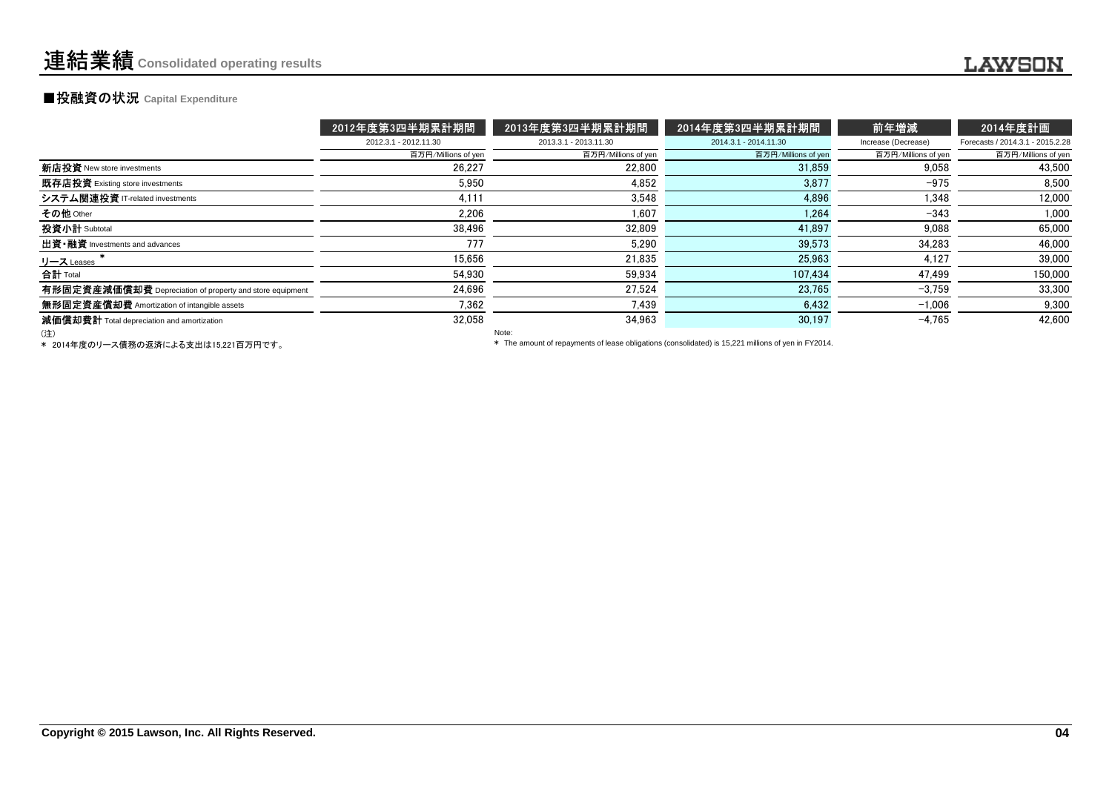### **■投融資の状況 Capital Expenditure**

|                                                          | 2012年度第3四半期累計期間       | 2013年度第3四半期累計期間       | 2014年度第3四半期累計期間       | 前年増減                | 2014年度計画                         |
|----------------------------------------------------------|-----------------------|-----------------------|-----------------------|---------------------|----------------------------------|
|                                                          | 2012.3.1 - 2012.11.30 | 2013.3.1 - 2013.11.30 | 2014.3.1 - 2014.11.30 | Increase (Decrease) | Forecasts / 2014.3.1 - 2015.2.28 |
|                                                          | 百万円/Millions of yen   | 百万円/Millions of yen   | 百万円/Millions of yen   | 百万円/Millions of yen | 百万円/Millions of yen              |
| 新店投資 New store investments                               | 26.227                | 22.800                | 31.859                | 9.058               | 43.500                           |
| 既存店投資 Existing store investments                         | 5.950                 | 4.852                 | 3,877                 | $-975$              | 8.500                            |
| システム関連投資 IT-related investments                          | 4,111                 | 3.548                 | 4.896                 | 1.348               | 12.000                           |
| その他 Other                                                | 2,206                 | 1,607                 | 1.264                 | $-343$              | 1.000                            |
| 投資小計 Subtotal                                            | 38,496                | 32.809                | 41.897                | 9.088               | 65,000                           |
| 出資·融資 Investments and advances                           | 777                   | 5.290                 | 39.573                | 34,283              | 46.000                           |
| リース Leases                                               | 15.656                | 21.835                | 25.963                | 4.127               | 39,000                           |
| 合計 Total                                                 | 54.930                | 59.934                | 107.434               | 47.499              | 150,000                          |
| 有形固定資産減価償却費 Depreciation of property and store equipment | 24,696                | 27.524                | 23.765                | $-3.759$            | 33.300                           |
| 無形固定資産償却費 Amortization of intangible assets              | 7.362                 | 7.439                 | 6.432                 | $-1,006$            | 9.300                            |
| 減価償却費計 Total depreciation and amortization               | 32,058                | 34.963                | 30,197                | $-4.765$            | 42,600                           |
| (注)                                                      |                       | Note:                 |                       |                     |                                  |

(注)

\* 2014年度のリース債務の返済による支出は15,221百万円です。

Note:

\* The amount of repayments of lease obligations (consolidated) is 15,221 millions of yen in FY2014.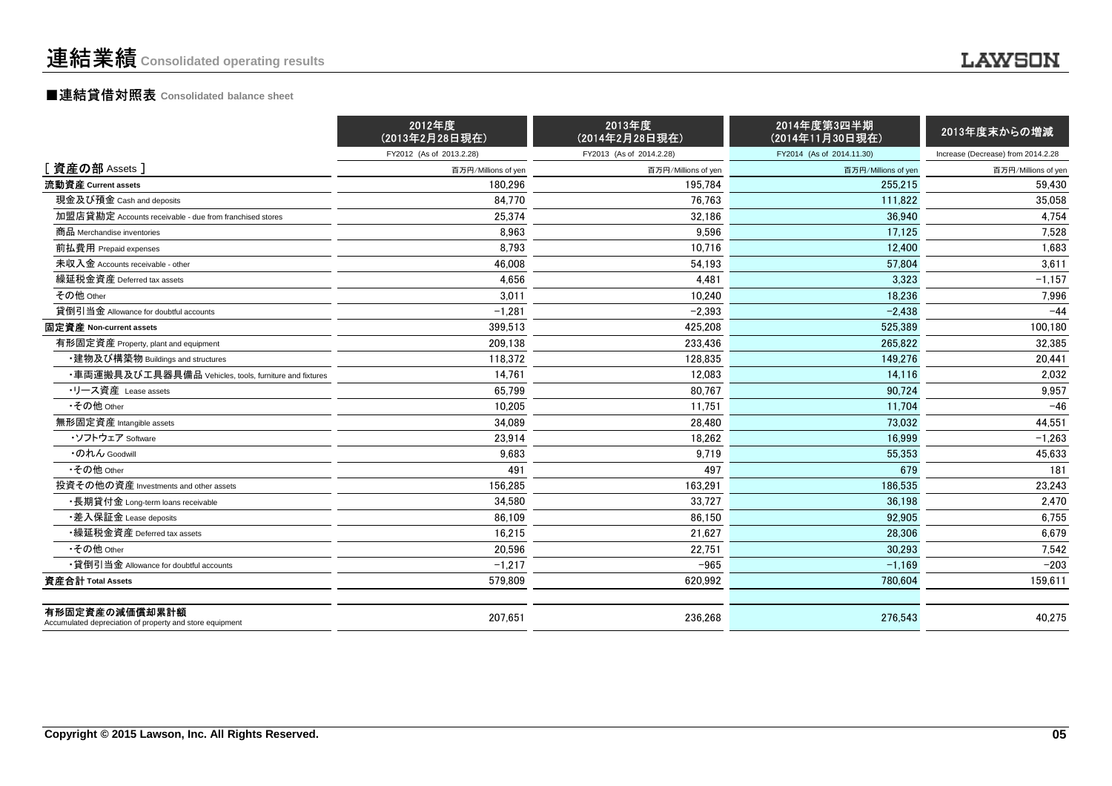#### ■連結貸借対照表 **Consolidated balance sheet**

|                                                                            | 2012年度<br>(2013年2月28日現在) | 2013年度<br>(2014年2月28日現在) | 2014年度第3四半期<br>(2014年11月30日現在) | 2013年度末からの増減                       |
|----------------------------------------------------------------------------|--------------------------|--------------------------|--------------------------------|------------------------------------|
|                                                                            | FY2012 (As of 2013.2.28) | FY2013 (As of 2014.2.28) | FY2014 (As of 2014.11.30)      | Increase (Decrease) from 2014.2.28 |
| [ 資産の部 Assets ]                                                            | 百万円/Millions of yen      | 百万円/Millions of yen      | 百万円/Millions of yen            | 百万円/Millions of yen                |
| 流動資産 Current assets                                                        | 180.296                  | 195,784                  | 255.215                        | 59,430                             |
| 現金及び預金 Cash and deposits                                                   | 84.770                   | 76,763                   | 111.822                        | 35,058                             |
| 加盟店貸勘定 Accounts receivable - due from franchised stores                    | 25,374                   | 32,186                   | 36,940                         | 4,754                              |
| 商品 Merchandise inventories                                                 | 8,963                    | 9,596                    | 17,125                         | 7,528                              |
| 前払費用 Prepaid expenses                                                      | 8,793                    | 10,716                   | 12,400                         | 1,683                              |
| 未収入金 Accounts receivable - other                                           | 46,008                   | 54,193                   | 57,804                         | 3,611                              |
| 繰延税金資産 Deferred tax assets                                                 | 4.656                    | 4,481                    | 3.323                          | $-1,157$                           |
| その他 Other                                                                  | 3,011                    | 10,240                   | 18,236                         | 7,996                              |
| 貸倒引当金 Allowance for doubtful accounts                                      | $-1,281$                 | $-2,393$                 | $-2,438$                       | $-44$                              |
| 固定資産 Non-current assets                                                    | 399.513                  | 425.208                  | 525.389                        | 100,180                            |
| 有形固定資産 Property, plant and equipment                                       | 209,138                  | 233.436                  | 265.822                        | 32,385                             |
| ・建物及び構築物 Buildings and structures                                          | 118,372                  | 128,835                  | 149,276                        | 20,441                             |
| ・車両運搬具及び工具器具備品 Vehicles, tools, furniture and fixtures                     | 14.761                   | 12,083                   | 14,116                         | 2,032                              |
| ・リース資産 Lease assets                                                        | 65.799                   | 80.767                   | 90.724                         | 9,957                              |
| •その他 Other                                                                 | 10.205                   | 11,751                   | 11,704                         | $-46$                              |
| 無形固定資産 Intangible assets                                                   | 34,089                   | 28,480                   | 73,032                         | 44,551                             |
| ・ソフトウェア Software                                                           | 23,914                   | 18,262                   | 16,999                         | $-1,263$                           |
| ・のれん Goodwill                                                              | 9,683                    | 9,719                    | 55,353                         | 45,633                             |
| •その他 Other                                                                 | 491                      | 497                      | 679                            | 181                                |
| 投資その他の資産 Investments and other assets                                      | 156.285                  | 163,291                  | 186,535                        | 23,243                             |
| •長期貸付金 Long-term loans receivable                                          | 34.580                   | 33,727                   | 36,198                         | 2,470                              |
| ・差入保証金 Lease deposits                                                      | 86,109                   | 86,150                   | 92,905                         | 6,755                              |
| •繰延税金資産 Deferred tax assets                                                | 16.215                   | 21,627                   | 28,306                         | 6,679                              |
| •その他 Other                                                                 | 20.596                   | 22,751                   | 30,293                         | 7,542                              |
| •貸倒引当金 Allowance for doubtful accounts                                     | $-1,217$                 | $-965$                   | $-1,169$                       | $-203$                             |
| 資産合計 Total Assets                                                          | 579,809                  | 620,992                  | 780,604                        | 159,611                            |
| 有形固定資産の減価償却累計額<br>Accumulated depreciation of property and store equipment | 207,651                  | 236,268                  | 276,543                        | 40,275                             |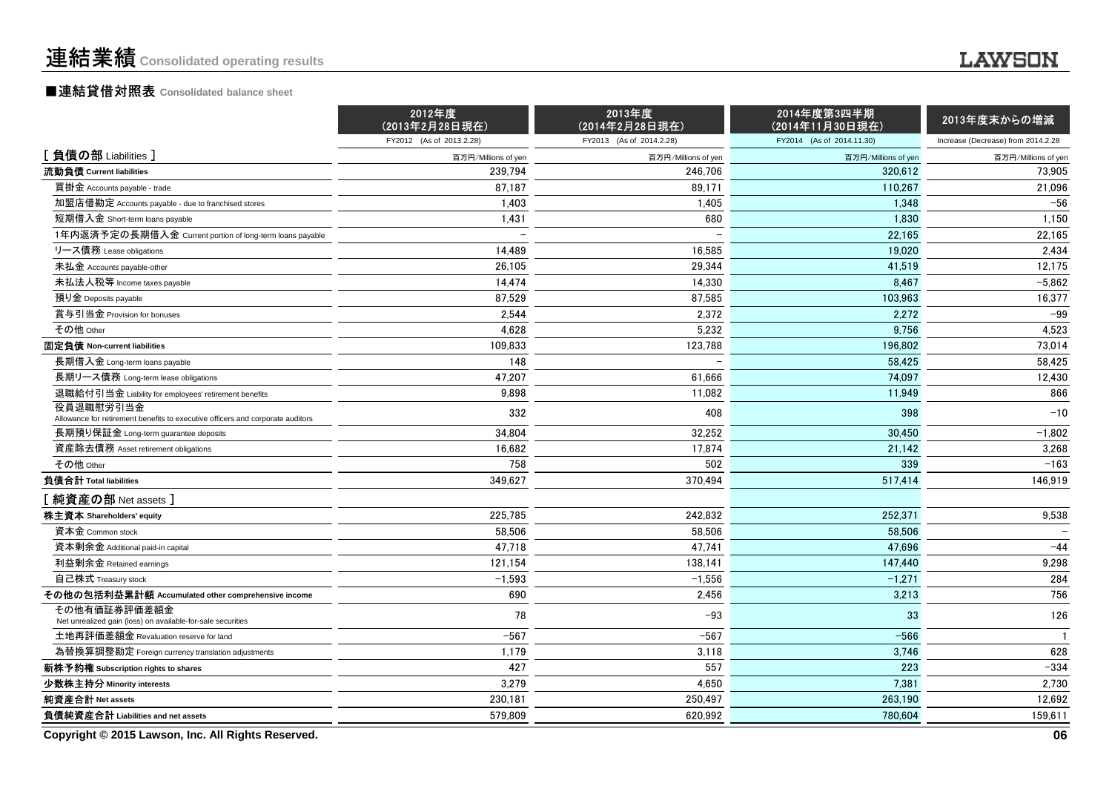### ■連結貸借対照表 **Consolidated balance sheet**

| FY2012 (As of 2013.2.28)<br>FY2013 (As of 2014.2.28)<br>FY2014 (As of 2014.11.30)<br>Increase (Decrease) from 2014.2.28<br>[負債の部 Liabilities]<br>百万円/Millions of yen<br>百万円/Millions of yen<br>百万円/Millions of yen<br>流動負債 Current liabilities<br>239,794<br>246,706<br>320.612<br>買掛金 Accounts payable - trade<br>87.187<br>89,171<br>110,267<br>加盟店借勘定 Accounts payable - due to franchised stores<br>1.403<br>1.405<br>1.348<br>680<br>短期借入金 Short-term loans payable<br>1,431<br>1,830<br>1年内返済予定の長期借入金 Current portion of long-term loans payable<br>22.165 | 百万円/Millions of yen<br>73,905<br>21,096<br>$-56$<br>1,150<br>22,165<br>2,434<br>12,175 |
|------------------------------------------------------------------------------------------------------------------------------------------------------------------------------------------------------------------------------------------------------------------------------------------------------------------------------------------------------------------------------------------------------------------------------------------------------------------------------------------------------------------------------------------------------------------|----------------------------------------------------------------------------------------|
|                                                                                                                                                                                                                                                                                                                                                                                                                                                                                                                                                                  |                                                                                        |
|                                                                                                                                                                                                                                                                                                                                                                                                                                                                                                                                                                  |                                                                                        |
|                                                                                                                                                                                                                                                                                                                                                                                                                                                                                                                                                                  |                                                                                        |
|                                                                                                                                                                                                                                                                                                                                                                                                                                                                                                                                                                  |                                                                                        |
|                                                                                                                                                                                                                                                                                                                                                                                                                                                                                                                                                                  |                                                                                        |
|                                                                                                                                                                                                                                                                                                                                                                                                                                                                                                                                                                  |                                                                                        |
|                                                                                                                                                                                                                                                                                                                                                                                                                                                                                                                                                                  |                                                                                        |
| 14,489<br>16,585<br>リース債務 Lease obligations<br>19,020                                                                                                                                                                                                                                                                                                                                                                                                                                                                                                            |                                                                                        |
| 26,105<br>29,344<br>未払金 Accounts payable-other<br>41,519                                                                                                                                                                                                                                                                                                                                                                                                                                                                                                         |                                                                                        |
| 14,474<br>未払法人税等 Income taxes payable<br>14,330<br>8,467                                                                                                                                                                                                                                                                                                                                                                                                                                                                                                         | $-5,862$                                                                               |
| 87,529<br>預り金 Deposits payable<br>87,585<br>103,963                                                                                                                                                                                                                                                                                                                                                                                                                                                                                                              | 16,377                                                                                 |
| 2,544<br>2,372<br>賞与引当金 Provision for bonuses<br>2,272                                                                                                                                                                                                                                                                                                                                                                                                                                                                                                           | $-99$                                                                                  |
| その他 Other<br>4,628<br>9,756<br>5,232                                                                                                                                                                                                                                                                                                                                                                                                                                                                                                                             | 4,523                                                                                  |
| 固定負債 Non-current liabilities<br>109,833<br>123,788<br>196,802                                                                                                                                                                                                                                                                                                                                                                                                                                                                                                    | 73,014                                                                                 |
| 148<br>長期借入金 Long-term loans payable<br>58.425                                                                                                                                                                                                                                                                                                                                                                                                                                                                                                                   | 58.425                                                                                 |
| 47,207<br>61,666<br>74,097<br>長期リース債務 Long-term lease obligations                                                                                                                                                                                                                                                                                                                                                                                                                                                                                                | 12,430                                                                                 |
| 9,898<br>11,082<br>退職給付引当金 Liability for employees' retirement benefits<br>11,949                                                                                                                                                                                                                                                                                                                                                                                                                                                                                | 866                                                                                    |
| 役員退職慰労引当金<br>332<br>408<br>398<br>Allowance for retirement benefits to executive officers and corporate auditors                                                                                                                                                                                                                                                                                                                                                                                                                                                 | $-10$                                                                                  |
| 34,804<br>32,252<br>30,450<br>長期預り保証金 Long-term guarantee deposits                                                                                                                                                                                                                                                                                                                                                                                                                                                                                               | $-1,802$                                                                               |
| 16,682<br>17,874<br>資産除去債務 Asset retirement obligations<br>21,142                                                                                                                                                                                                                                                                                                                                                                                                                                                                                                | 3,268                                                                                  |
| 758<br>その他 Other<br>502<br>339                                                                                                                                                                                                                                                                                                                                                                                                                                                                                                                                   | $-163$                                                                                 |
| 349,627<br>負債合計 Total liabilities<br>370,494<br>517,414                                                                                                                                                                                                                                                                                                                                                                                                                                                                                                          | 146,919                                                                                |
| [ 純資産の部 Net assets ]                                                                                                                                                                                                                                                                                                                                                                                                                                                                                                                                             |                                                                                        |
| 225,785<br>株主資本 Shareholders' equity<br>242.832<br>252.371                                                                                                                                                                                                                                                                                                                                                                                                                                                                                                       | 9,538                                                                                  |
| 58,506<br>58,506<br>資本金 Common stock<br>58,506                                                                                                                                                                                                                                                                                                                                                                                                                                                                                                                   |                                                                                        |
| 47,718<br>47,741<br>資本剰余金 Additional paid-in capital<br>47,696                                                                                                                                                                                                                                                                                                                                                                                                                                                                                                   | $-44$                                                                                  |
| 121,154<br>138,141<br>利益剰余金 Retained earnings<br>147,440                                                                                                                                                                                                                                                                                                                                                                                                                                                                                                         | 9,298                                                                                  |
| $-1,593$<br>自己株式 Treasury stock<br>$-1,556$<br>$-1,271$                                                                                                                                                                                                                                                                                                                                                                                                                                                                                                          | 284                                                                                    |
| その他の包括利益累計額 Accumulated other comprehensive income<br>690<br>3,213<br>2,456                                                                                                                                                                                                                                                                                                                                                                                                                                                                                      | 756                                                                                    |
| その他有価証券評価差額金<br>78<br>$-93$<br>33<br>Net unrealized gain (loss) on available-for-sale securities                                                                                                                                                                                                                                                                                                                                                                                                                                                                 | 126                                                                                    |
| $-567$<br>$-567$<br>$-566$<br>土地再評価差額金 Revaluation reserve for land                                                                                                                                                                                                                                                                                                                                                                                                                                                                                              | $\mathbf{1}$                                                                           |
| 1,179<br>為替換算調整勘定 Foreign currency translation adjustments<br>3,118<br>3,746                                                                                                                                                                                                                                                                                                                                                                                                                                                                                     | 628                                                                                    |
| 427<br>557<br>223<br>新株予約権 Subscription rights to shares                                                                                                                                                                                                                                                                                                                                                                                                                                                                                                         | $-334$                                                                                 |
| 3,279<br>少数株主持分 Minority interests<br>4,650<br>7.381                                                                                                                                                                                                                                                                                                                                                                                                                                                                                                             | 2,730                                                                                  |
| 純資産合計 Net assets<br>230,181<br>250,497<br>263,190                                                                                                                                                                                                                                                                                                                                                                                                                                                                                                                | 12,692                                                                                 |
| 負債純資産合計 Liabilities and net assets<br>579,809<br>620,992<br>780.604                                                                                                                                                                                                                                                                                                                                                                                                                                                                                              | 159,611                                                                                |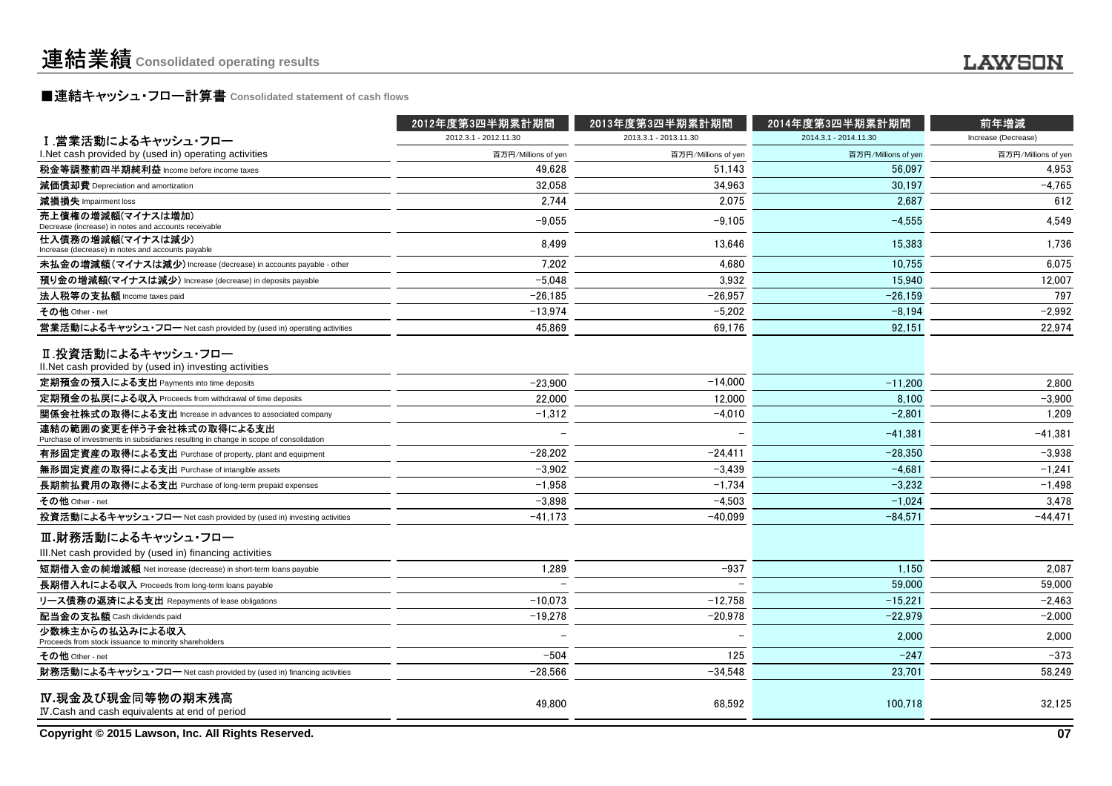## ■連結キャッシュ・フロー計算書 **Consolidated statement of cash flows**

|                                                                                                                   | 2012年度第3四半期累計期間       | 2013年度第3四半期累計期間       | 2014年度第3四半期累計期間       | 前年増減                |
|-------------------------------------------------------------------------------------------------------------------|-----------------------|-----------------------|-----------------------|---------------------|
| Ⅰ.営業活動によるキャッシュ・フロー                                                                                                | 2012.3.1 - 2012.11.30 | 2013.3.1 - 2013.11.30 | 2014.3.1 - 2014.11.30 | Increase (Decrease) |
| I. Net cash provided by (used in) operating activities                                                            | 百万円/Millions of yen   | 百万円/Millions of yen   | 百万円/Millions of yer   | 百万円/Millions of yen |
| 税金等調整前四半期純利益 Income before income taxes                                                                           | 49.628                | 51.143                | 56.097                | 4.953               |
| 減価償却費 Depreciation and amortization                                                                               | 32,058                | 34,963                | 30.197                | $-4,765$            |
| 減損損失 Impairment loss                                                                                              | 2.744                 | 2.075                 | 2,687                 | 612                 |
| 売上債権の増減額(マイナスは増加)<br>Decrease (increase) in notes and accounts receivable                                         | $-9,055$              | $-9,105$              | $-4.555$              | 4,549               |
| 仕入債務の増減額(マイナスは減少)<br>Increase (decrease) in notes and accounts payable                                            | 8,499                 | 13,646                | 15,383                | 1,736               |
| 未払金の増減額(マイナスは減少) Increase (decrease) in accounts payable - other                                                  | 7,202                 | 4,680                 | 10.755                | 6,075               |
| 預り金の増減額(マイナスは減少) Increase (decrease) in deposits payable                                                          | $-5.048$              | 3.932                 | 15.940                | 12.007              |
| 法人税等の支払額 Income taxes paid                                                                                        | $-26.185$             | $-26,957$             | $-26,159$             | 797                 |
| その他 Other - net                                                                                                   | $-13,974$             | $-5,202$              | $-8,194$              | $-2,992$            |
| 営業活動によるキャッシュ・フロー Net cash provided by (used in) operating activities                                              | 45,869                | 69,176                | 92,151                | 22,974              |
| Ⅱ.投資活動によるキャッシュ・フロー<br>II.Net cash provided by (used in) investing activities                                      |                       |                       |                       |                     |
| 定期預金の預入による支出 Payments into time deposits                                                                          | $-23,900$             | $-14,000$             | $-11,200$             | 2,800               |
| 定期預金の払戻による収入 Proceeds from withdrawal of time deposits                                                            | 22,000                | 12,000                | 8,100                 | $-3,900$            |
| 関係会社株式の取得による支出 Increase in advances to associated company                                                         | $-1,312$              | $-4,010$              | $-2,801$              | 1,209               |
| 連結の範囲の変更を伴う子会社株式の取得による支出<br>Purchase of investments in subsidiaries resulting in change in scope of consolidation |                       |                       | $-41.381$             | $-41.381$           |
| 有形固定資産の取得による支出 Purchase of property, plant and equipment                                                          | $-28.202$             | $-24.411$             | $-28.350$             | $-3.938$            |
| 無形固定資産の取得による支出 Purchase of intangible assets                                                                      | $-3.902$              | $-3.439$              | $-4.681$              | $-1.241$            |
| 長期前払費用の取得による支出 Purchase of long-term prepaid expenses                                                             | $-1,958$              | $-1,734$              | $-3,232$              | $-1,498$            |
| その他 Other - net                                                                                                   | $-3,898$              | $-4,503$              | $-1,024$              | 3,478               |
| 投資活動によるキャッシュ・フロー Net cash provided by (used in) investing activities                                              | $-41.173$             | $-40.099$             | $-84.571$             | $-44,471$           |
| Ⅲ.財務活動によるキャッシュ・フロー<br>III. Net cash provided by (used in) financing activities                                    |                       |                       |                       |                     |
| 短期借入金の純増減額 Net increase (decrease) in short-term loans payable                                                    | 1,289                 | $-937$                | 1,150                 | 2,087               |
| 長期借入れによる収入 Proceeds from long-term loans payable                                                                  |                       |                       | 59,000                | 59.000              |
| リース債務の返済による支出 Repayments of lease obligations                                                                     | $-10.073$             | $-12.758$             | $-15.221$             | $-2.463$            |
| 配当金の支払額 Cash dividends paid                                                                                       | $-19,278$             | $-20,978$             | $-22,979$             | $-2,000$            |
| 少数株主からの払込みによる収入<br>Proceeds from stock issuance to minority shareholders                                          |                       |                       | 2.000                 | 2,000               |
| その他 Other - net                                                                                                   | $-504$                | 125                   | $-247$                | $-373$              |
| 財務活動によるキャッシュ・フロー Net cash provided by (used in) financing activities                                              | $-28.566$             | $-34.548$             | 23.701                | 58,249              |
| IV.現金及び現金同等物の期末残高<br>IV. Cash and cash equivalents at end of period                                               | 49,800                | 68,592                | 100.718               | 32,125              |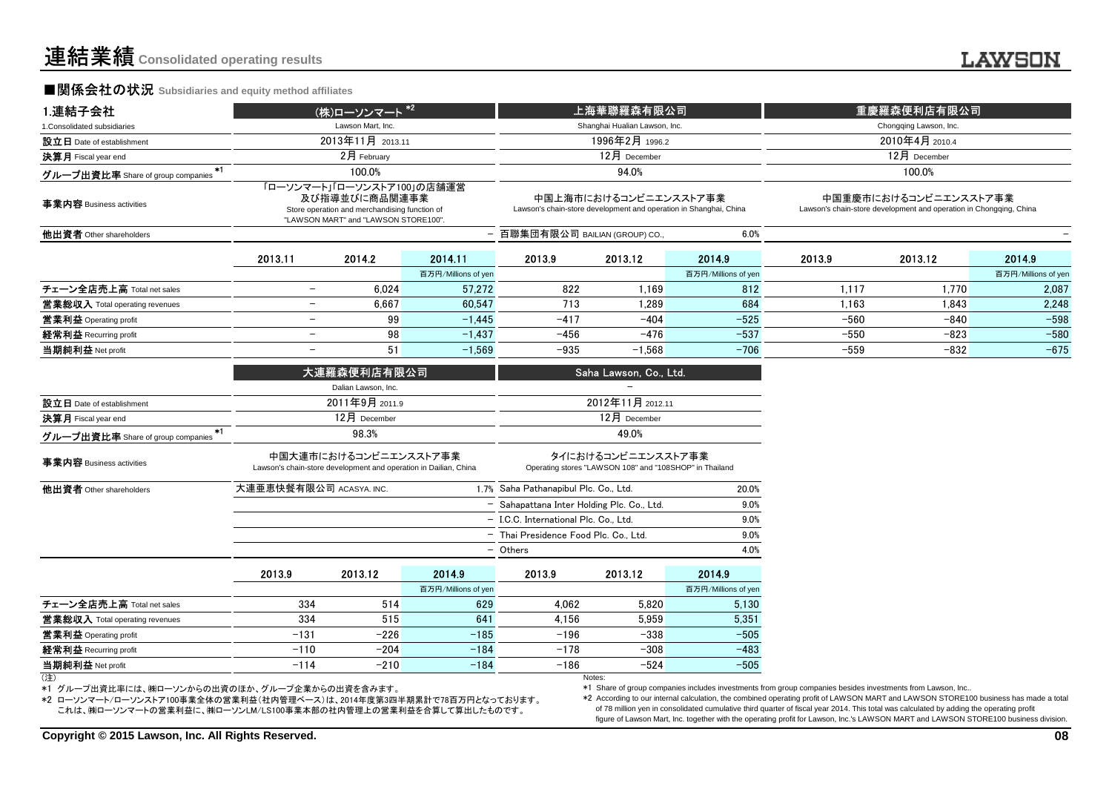#### **■関係会社の状況 Subsidiaries and equity method affiliates**

| 1.連結子会社                                   |                                                                                                                                      | (株)ローソンマート <sup>*2</sup>                                                                  |                     |                                            | 上海華聯羅森有限公司                                                                                 |                     |                                                                                             | 重慶羅森便利店有限公司            |                     |  |
|-------------------------------------------|--------------------------------------------------------------------------------------------------------------------------------------|-------------------------------------------------------------------------------------------|---------------------|--------------------------------------------|--------------------------------------------------------------------------------------------|---------------------|---------------------------------------------------------------------------------------------|------------------------|---------------------|--|
| 1.Consolidated subsidiaries               |                                                                                                                                      | Lawson Mart, Inc.                                                                         |                     |                                            | Shanghai Hualian Lawson, Inc.                                                              |                     |                                                                                             | Chongqing Lawson, Inc. |                     |  |
| 設立日 Date of establishment                 |                                                                                                                                      | 2013年11月 2013.11                                                                          |                     |                                            | 1996年2月 1996.2                                                                             |                     |                                                                                             | 2010年4月 2010.4         |                     |  |
| 決算月 Fiscal year end                       |                                                                                                                                      | 2月 February                                                                               |                     |                                            | 12月 December                                                                               |                     | 12月 December                                                                                |                        |                     |  |
| $*1$<br>グループ出資比率 Share of group companies |                                                                                                                                      | 100.0%                                                                                    |                     |                                            | 94.0%                                                                                      |                     |                                                                                             | 100.0%                 |                     |  |
| 事業内容 Business activities                  | 「ローソンマート」「ローソンストア100」の店舗運営<br>及び指導並びに商品関連事業<br>Store operation and merchandising function of<br>"LAWSON MART" and "LAWSON STORE100". |                                                                                           |                     |                                            | 中国上海市におけるコンビニエンスストア事業<br>Lawson's chain-store development and operation in Shanghai, China |                     | 中国重慶市におけるコンビニエンスストア事業<br>Lawson's chain-store development and operation in Chongqing, China |                        |                     |  |
| 他出資者 Other shareholders                   |                                                                                                                                      |                                                                                           |                     | - 百聯集団有限公司 BAILIAN (GROUP) CO              |                                                                                            | 6.0%                |                                                                                             |                        |                     |  |
|                                           | 2013.11                                                                                                                              | 2014.2                                                                                    | 2014 11             | 2013.9                                     | 2013.12                                                                                    | 2014.9              | 2013.9                                                                                      | 2013.12                | 2014.9              |  |
|                                           |                                                                                                                                      |                                                                                           | 百万円/Millions of yen |                                            |                                                                                            | 百万円/Millions of yen |                                                                                             |                        | 百万円/Millions of yen |  |
| チェーン全店売上高 Total net sales                 | $\overline{\phantom{a}}$                                                                                                             | 6.024                                                                                     | 57.272              | 822                                        | 1.169                                                                                      | 812                 | 1,117                                                                                       | 1,770                  | 2,087               |  |
| <b>営業総収入</b> Total operating revenues     | $-$                                                                                                                                  | 6,667                                                                                     | 60.547              | 713                                        | 1,289                                                                                      | 684                 | 1,163                                                                                       | 1,843                  | 2,248               |  |
| 営業利益 Operating profit                     | $\overline{\phantom{m}}$                                                                                                             | 99                                                                                        | $-1.445$            | $-417$                                     | $-404$                                                                                     | $-525$              | $-560$                                                                                      | $-840$                 | $-598$              |  |
| 経常利益 Recurring profit                     | $\overline{\phantom{m}}$                                                                                                             | 98                                                                                        | $-1,437$            | $-456$                                     | $-476$                                                                                     | $-537$              | $-550$                                                                                      | $-823$                 | $-580$              |  |
| 当期純利益 Net profit                          | $\overline{\phantom{a}}$                                                                                                             | 51                                                                                        | $-1,569$            | $-935$                                     | $-1,568$                                                                                   | $-706$              | $-559$                                                                                      | $-832$                 | $-675$              |  |
|                                           |                                                                                                                                      | 大連羅森便利店有限公司                                                                               |                     |                                            | Saha Lawson, Co., Ltd.                                                                     |                     |                                                                                             |                        |                     |  |
|                                           |                                                                                                                                      | Dalian Lawson, Inc.                                                                       |                     |                                            |                                                                                            |                     |                                                                                             |                        |                     |  |
| 設立日 Date of establishment                 |                                                                                                                                      | 2011年9月 2011.9                                                                            |                     |                                            | 2012年11月 2012.11                                                                           |                     |                                                                                             |                        |                     |  |
| 決算月 Fiscal year end                       |                                                                                                                                      | 12月 December                                                                              |                     |                                            | 12月 December                                                                               |                     |                                                                                             |                        |                     |  |
| $*1$<br>グループ出資比率 Share of group companies |                                                                                                                                      | 98.3%                                                                                     |                     |                                            | 49.0%                                                                                      |                     |                                                                                             |                        |                     |  |
| 事業内容 Business activities                  |                                                                                                                                      | 中国大連市におけるコンビニエンスストア事業<br>Lawson's chain-store development and operation in Dailian, China |                     |                                            | タイにおけるコンビニエンスストア事業<br>Operating stores "LAWSON 108" and "108SHOP" in Thailand              |                     |                                                                                             |                        |                     |  |
| 他出資者 Other shareholders                   | 大連亜恵快餐有限公司 ACASYA. INC.                                                                                                              |                                                                                           |                     | 1.7% Saha Pathanapibul Plc. Co., Ltd.      |                                                                                            | 20.0%               |                                                                                             |                        |                     |  |
|                                           |                                                                                                                                      |                                                                                           |                     | - Sahapattana Inter Holding Plc. Co., Ltd. |                                                                                            | 9.0%                |                                                                                             |                        |                     |  |
|                                           |                                                                                                                                      |                                                                                           |                     | - I.C.C. International Plc. Co., Ltd.      |                                                                                            | 9.0%                |                                                                                             |                        |                     |  |
|                                           |                                                                                                                                      |                                                                                           |                     | - Thai Presidence Food Plc. Co., Ltd.      |                                                                                            | 9.0%                |                                                                                             |                        |                     |  |
|                                           |                                                                                                                                      |                                                                                           |                     | - Others                                   |                                                                                            | 4.0%                |                                                                                             |                        |                     |  |
|                                           | 2013.9                                                                                                                               | 2013.12                                                                                   | 2014.9              | 2013.9                                     | 2013.12                                                                                    | 2014.9              |                                                                                             |                        |                     |  |
|                                           |                                                                                                                                      |                                                                                           | 百万円/Millions of yen |                                            |                                                                                            | 百万円/Millions of yen |                                                                                             |                        |                     |  |
| チェーン全店売上高 Total net sales                 | 334                                                                                                                                  | 514                                                                                       | 629                 | 4.062                                      | 5,820                                                                                      | 5,130               |                                                                                             |                        |                     |  |
| 営業総収入 Total operating revenues            | 334                                                                                                                                  | 515                                                                                       | 641                 | 4,156                                      | 5,959                                                                                      | 5,351               |                                                                                             |                        |                     |  |
| 営業利益 Operating profit                     | $-131$                                                                                                                               | $-226$                                                                                    | $-185$              | $-196$                                     | $-338$                                                                                     | $-505$              |                                                                                             |                        |                     |  |
| 経常利益 Recurring profit                     | $-110$                                                                                                                               | $-204$                                                                                    | $-184$              | $-178$                                     | $-308$                                                                                     | $-483$              |                                                                                             |                        |                     |  |
| 当期純利益 Net profit                          | $-114$                                                                                                                               | $-210$                                                                                    | $-184$              | $-186$                                     | $-524$                                                                                     | $-505$              |                                                                                             |                        |                     |  |
| (注)                                       |                                                                                                                                      |                                                                                           |                     |                                            | Notes:                                                                                     |                     |                                                                                             |                        |                     |  |

<sup>(</sup>注)

\*1 グループ出資比率には、㈱ローソンからの出資のほか、グループ企業からの出資を含みます。

 \*2 ローソンマート/ローソンストア100事業全体の営業利益(社内管理ベース)は、2014年度第3四半期累計で78百万円となっております。これは、㈱ローソンマートの営業利益に、㈱ローソンLM/LS100事業本部の社内管理上の営業利益を合算して算出したものです。

Notes:

\*1 Share of group companies includes investments from group companies besides investments from Lawson, Inc..

 \*2 According to our internal calculation, the combined operating profit of LAWSON MART and LAWSON STORE100 business has made a total of 78 million yen in consolidated cumulative third quarter of fiscal year 2014. This total was calculated by adding the operating profitfigure of Lawson Mart, Inc. together with the operating profit for Lawson, Inc.'s LAWSON MART and LAWSON STORE100 business division.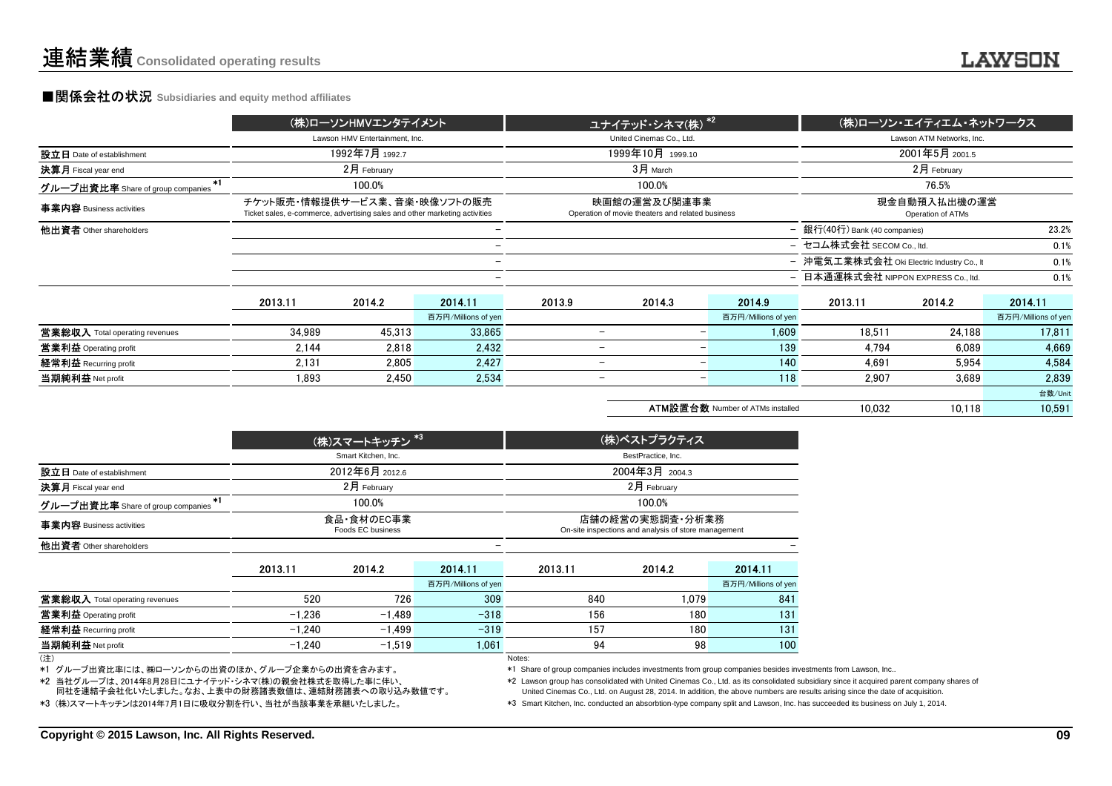#### **■関係会社の状況 Subsidiaries and equity method affiliates**

|                                           |                                                                                                            | (株)ローソンHMVエンタテイメント             |                          |                          | ユナイテッド・シネマ(株) <sup>*2 </sup>                                     |                                         |                                           | (株)ローソン・エイティエム・ネットワークス            |                     |
|-------------------------------------------|------------------------------------------------------------------------------------------------------------|--------------------------------|--------------------------|--------------------------|------------------------------------------------------------------|-----------------------------------------|-------------------------------------------|-----------------------------------|---------------------|
|                                           |                                                                                                            | Lawson HMV Entertainment. Inc. |                          |                          | United Cinemas Co., Ltd.                                         |                                         |                                           | Lawson ATM Networks, Inc.         |                     |
| 設立日 Date of establishment                 |                                                                                                            | 1992年7月1992.7                  |                          |                          | 1999年10月 1999.10                                                 |                                         |                                           | 2001年5月 2001.5                    |                     |
| 決算月 Fiscal year end                       |                                                                                                            | $2月$ February                  |                          |                          | 3月 March                                                         |                                         | 2月 February                               |                                   |                     |
| $*1$<br>グループ出資比率 Share of group companies |                                                                                                            | 100.0%                         |                          |                          | 100.0%                                                           |                                         | 76.5%                                     |                                   |                     |
| 事業内容 Business activities                  | チケット販売・情報提供サービス業、音楽・映像ソフトの販売<br>Ticket sales, e-commerce, advertising sales and other marketing activities |                                |                          |                          | 映画館の運営及び関連事業<br>Operation of movie theaters and related business |                                         |                                           | 現金自動預入払出機の運営<br>Operation of ATMs |                     |
| 他出資者 Other shareholders                   |                                                                                                            |                                |                          |                          |                                                                  |                                         | - 銀行(40行) Bank (40 companies)             |                                   | 23.2%               |
|                                           |                                                                                                            |                                |                          |                          |                                                                  |                                         | - セコム株式会社 SECOM Co., ltd.                 |                                   | 0.1%                |
|                                           |                                                                                                            |                                | $\overline{\phantom{m}}$ |                          |                                                                  |                                         | - 沖電気工業株式会社 Oki Electric Industry Co., It |                                   | 0.1%                |
|                                           |                                                                                                            |                                |                          |                          |                                                                  | - 日本通運株式会社 NIPPON EXPRESS Co., ltd.     |                                           | 0.1%                              |                     |
|                                           | 2013.11                                                                                                    | 2014.2                         | 2014.11                  | 2013.9                   | 2014.3                                                           | 2014.9                                  | 2013.11                                   | 2014.2                            | 2014.11             |
|                                           |                                                                                                            |                                | 百万円/Millions of yen      |                          |                                                                  | 百万円/Millions of yen                     |                                           |                                   | 百万円/Millions of yen |
| 営業総収入 Total operating revenues            | 34.989                                                                                                     | 45.313                         | 33.865                   | $\qquad \qquad -$        | $\overline{\phantom{m}}$                                         | 1.609                                   | 18.511                                    | 24.188                            | 17.811              |
| 営業利益 Operating profit                     | 2.144                                                                                                      | 2.818                          | 2.432                    | $\qquad \qquad -$        | $\overline{\phantom{m}}$                                         | 139                                     | 4.794                                     | 6.089                             | 4.669               |
| 経常利益 Recurring profit                     | 2.131                                                                                                      | 2.805                          | 2,427                    | $\overline{\phantom{0}}$ | $\qquad \qquad$                                                  | 140                                     | 4.691                                     | 5.954                             | 4,584               |
| 当期純利益 Net profit                          | 1.893                                                                                                      | 2.450                          | 2,534                    |                          | $\overline{\phantom{m}}$                                         | 118                                     | 2.907                                     | 3.689                             | 2.839               |
|                                           |                                                                                                            |                                |                          |                          |                                                                  |                                         |                                           |                                   | 台数/Unit             |
|                                           |                                                                                                            |                                |                          |                          |                                                                  | <b>ATM設置台数 Number of ATMs installed</b> | 10.032                                    | 10.118                            | 10.591              |

|                                           |          | (株)スマートキッチン <sup>*3</sup>       |                     | (株)ベストプラクティス       |                                                                         |                     |  |
|-------------------------------------------|----------|---------------------------------|---------------------|--------------------|-------------------------------------------------------------------------|---------------------|--|
|                                           |          | Smart Kitchen, Inc.             |                     | BestPractice, Inc. |                                                                         |                     |  |
| 設立日 Date of establishment                 |          | 2012年6月 2012.6                  |                     |                    | 2004年3月 2004.3                                                          |                     |  |
| <b>決算月</b> Fiscal year end                |          | $2月$ February                   |                     | 2月 February        |                                                                         |                     |  |
| $*1$<br>グループ出資比率 Share of group companies |          | 100.0%                          |                     |                    | 100.0%                                                                  |                     |  |
| 事業内容 Business activities                  |          | 食品·食材のEC事業<br>Foods EC business |                     |                    | 店舗の経営の実態調査・分析業務<br>On-site inspections and analysis of store management |                     |  |
| 他出資者 Other shareholders                   |          |                                 |                     |                    |                                                                         |                     |  |
|                                           | 2013.11  | 2014.2                          | 2014.11             | 2013.11            | 2014.2                                                                  | 2014.11             |  |
|                                           |          |                                 | 百万円/Millions of yen |                    |                                                                         | 百万円/Millions of yen |  |
| 営業総収入 Total operating revenues            | 520      | 726                             | 309                 | 840                | 1.079                                                                   | 841                 |  |
| 営業利益 Operating profit                     | $-1.236$ | $-1.489$                        | $-318$              | 156                | 180                                                                     | 131                 |  |
| <b>経常利益</b> Recurring profit              | $-1.240$ | $-1.499$                        | $-319$              | 157                | 180                                                                     | 131                 |  |
| 当期純利益 Net profit                          | $-1,240$ | $-1,519$                        | 1.061               | 94                 | 98                                                                      | 100                 |  |
| (注)                                       |          |                                 |                     | Notes:             |                                                                         |                     |  |

(注)

\*1 グループ出資比率には、㈱ローソンからの出資のほか、グループ企業からの出資を含みます。

\*2 当社グループは、2014年8月28日にユナイテッド・シネマ(株)の親会社株式を取得した事に伴い、

\*3 (株)スマートキッチンは2014年7月1日に吸収分割を行い、当社が当該事業を承継いたしました。同社を連結子会社化いたしました。なお、上表中の財務諸表数値は、連結財務諸表への取り込み数値です。 \*1 Share of group companies includes investments from group companies besides investments from Lawson, Inc..

\*2 Lawson group has consolidated with United Cinemas Co., Ltd. as its consolidated subsidiary since it acquired parent company shares of

United Cinemas Co., Ltd. on August 28, 2014. In addition, the above numbers are results arising since the date of acquisition.

\*3 Smart Kitchen, Inc. conducted an absorbtion-type company split and Lawson, Inc. has succeeded its business on July 1, 2014.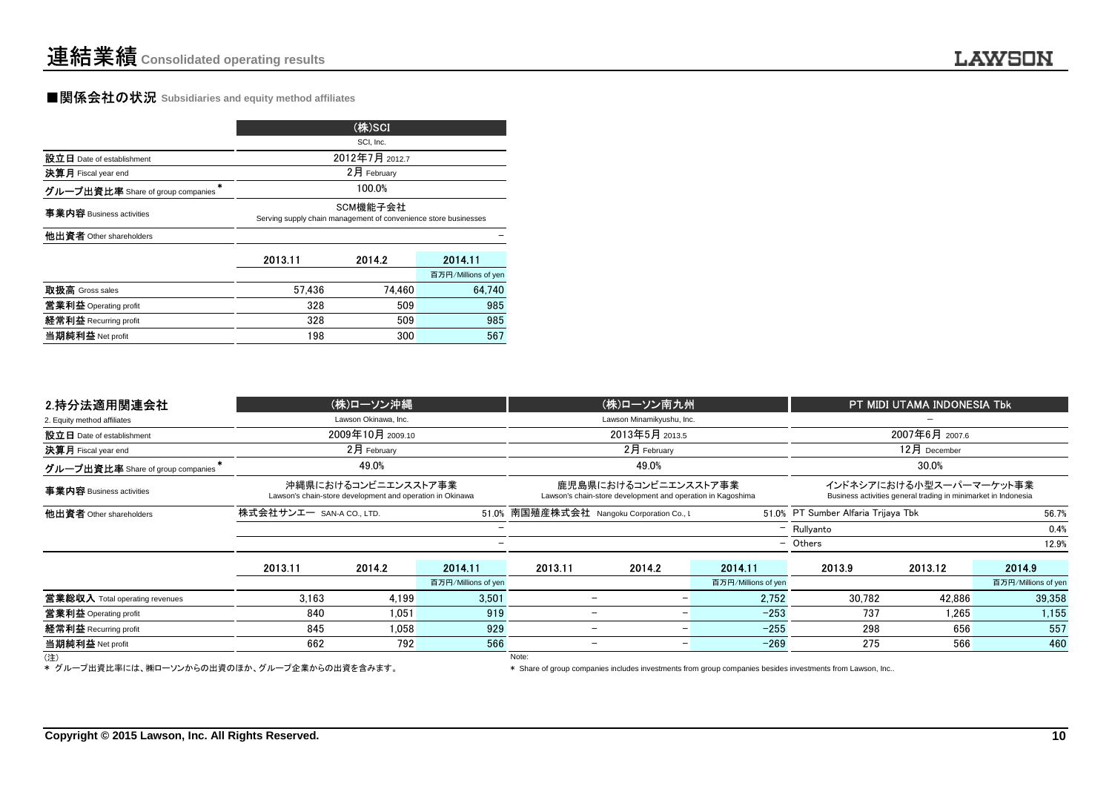### ■関係会社の状況 **Subsidiaries and equity method affiliates**

|                                        |                                                                             | (株)SCI         |                     |  |  |  |
|----------------------------------------|-----------------------------------------------------------------------------|----------------|---------------------|--|--|--|
|                                        |                                                                             | SCI, Inc.      |                     |  |  |  |
| 設立日 Date of establishment              |                                                                             | 2012年7月 2012.7 |                     |  |  |  |
| 決算月 Fiscal year end                    |                                                                             | 2月 February    |                     |  |  |  |
| ÷<br>グループ出資比率 Share of group companies |                                                                             | 100.0%         |                     |  |  |  |
| 事業内容 Business activities               | SCM機能子会社<br>Serving supply chain management of convenience store businesses |                |                     |  |  |  |
| 他出資者 Other shareholders                |                                                                             |                |                     |  |  |  |
|                                        | 2013.11                                                                     | 2014.2         | 2014.11             |  |  |  |
|                                        |                                                                             |                | 百万円/Millions of yen |  |  |  |
| 取扱高 Gross sales                        | 57.436                                                                      | 74.460         | 64.740              |  |  |  |
| 営業利益 Operating profit                  | 328                                                                         | 509            | 985                 |  |  |  |
| 経常利益 Recurring profit                  | 328                                                                         | 509            | 985                 |  |  |  |
| 当期純利益 Net profit                       | 198                                                                         | 300            | 567                 |  |  |  |

|                                   |                          | SCI, Inc.                                                                        |                     |         |                                                                                     |                     |                                     |                                                                                           |                     |  |
|-----------------------------------|--------------------------|----------------------------------------------------------------------------------|---------------------|---------|-------------------------------------------------------------------------------------|---------------------|-------------------------------------|-------------------------------------------------------------------------------------------|---------------------|--|
| 設立日 Date of establishment         |                          | 2012年7月 2012.7                                                                   |                     |         |                                                                                     |                     |                                     |                                                                                           |                     |  |
| 決算月 Fiscal year end               |                          | 2月 February                                                                      |                     |         |                                                                                     |                     |                                     |                                                                                           |                     |  |
| グループ出資比率 Share of group companies |                          | 100.0%                                                                           |                     |         |                                                                                     |                     |                                     |                                                                                           |                     |  |
| 事業内容 Business activities          |                          | SCM機能子会社<br>Serving supply chain management of convenience store businesses      |                     |         |                                                                                     |                     |                                     |                                                                                           |                     |  |
| 他出資者 Other shareholders           |                          |                                                                                  |                     |         |                                                                                     |                     |                                     |                                                                                           |                     |  |
|                                   | 2013.11                  | 2014.2                                                                           | 2014.11             |         |                                                                                     |                     |                                     |                                                                                           |                     |  |
|                                   |                          |                                                                                  | 百万円/Millions of yen |         |                                                                                     |                     |                                     |                                                                                           |                     |  |
| 取扱高 Gross sales                   | 57,436                   | 74,460                                                                           | 64,740              |         |                                                                                     |                     |                                     |                                                                                           |                     |  |
| 営業利益 Operating profit             | 328                      | 509                                                                              | 985                 |         |                                                                                     |                     |                                     |                                                                                           |                     |  |
| 経常利益 Recurring profit             | 328                      | 509                                                                              | 985                 |         |                                                                                     |                     |                                     |                                                                                           |                     |  |
| 当期純利益 Net profit                  | 198                      | 300                                                                              | 567                 |         |                                                                                     |                     |                                     |                                                                                           |                     |  |
| 2.持分法適用関連会社                       |                          | (株)ローソン沖縄                                                                        |                     |         | (株)ローソン南九州                                                                          |                     |                                     | PT MIDI UTAMA INDONESIA Tbk                                                               |                     |  |
| 2. Equity method affiliates       |                          | Lawson Okinawa, Inc.                                                             |                     |         | Lawson Minamikyushu, Inc.                                                           |                     |                                     |                                                                                           |                     |  |
| 設立日 Date of establishment         |                          | 2009年10月 2009.10                                                                 |                     |         | 2013年5月 2013.5                                                                      |                     |                                     | 2007年6月 2007.6                                                                            |                     |  |
| 決算月 Fiscal year end               |                          | 2月 February                                                                      |                     |         | 2月 February                                                                         |                     | 12月 December                        |                                                                                           |                     |  |
| グループ出資比率 Share of group companies |                          | 49.0%                                                                            |                     |         | 49.0%                                                                               |                     |                                     | 30.0%                                                                                     |                     |  |
| 事業内容 Business activities          |                          | 沖縄県におけるコンビニエンスストア事業<br>Lawson's chain-store development and operation in Okinawa |                     |         | 鹿児島県におけるコンビニエンスストア事業<br>Lawson's chain-store development and operation in Kagoshima |                     |                                     | インドネシアにおける小型スーパーマーケット事業<br>Business activities general trading in minimarket in Indonesia |                     |  |
| 他出資者 Other shareholders           | 株式会社サンエー SAN-A CO., LTD. |                                                                                  |                     |         | 51.0% 南国殖産株式会社 Nangoku Corporation Co., L                                           |                     | 51.0% PT Sumber Alfaria Trijaya Tbk |                                                                                           | 56.7%               |  |
|                                   |                          |                                                                                  |                     |         |                                                                                     |                     | $-$ Rullyanto                       |                                                                                           | 0.4%                |  |
|                                   |                          |                                                                                  |                     |         |                                                                                     |                     | - Others                            |                                                                                           | 12.9%               |  |
|                                   | 2013.11                  | 2014.2                                                                           | 2014.11             | 2013.11 | 20142                                                                               | 2014 11             | 2013.9                              | 2013.12                                                                                   | 2014.9              |  |
|                                   |                          |                                                                                  | 百万円/Millions of yen |         |                                                                                     | 百万円/Millions of yen |                                     |                                                                                           | 百万円/Millions of yen |  |
| 営業総収入 Total operating revenues    | 3.163                    | 4,199                                                                            | 3,501               |         | $\overline{\phantom{0}}$                                                            | 2,752               | 30,782                              | 42,886                                                                                    | 39,358              |  |
| 営業利益 Operating profit             | 840                      | 1,051                                                                            | 919                 |         | $\overline{\phantom{0}}$                                                            | $-253$              | 737                                 | 1,265                                                                                     | 1,155               |  |
| 経常利益 Recurring profit             | 845                      | 1.058                                                                            | 929                 |         | $\overline{\phantom{0}}$                                                            | $-255$              | 298                                 | 656                                                                                       | 557                 |  |
| 当期純利益 Net profit                  | 662                      | 792                                                                              | 566                 |         | $\overline{\phantom{m}}$                                                            | $-269$<br>-1        | 275                                 | 566                                                                                       | 460                 |  |
| (注)                               |                          |                                                                                  |                     | Note:   |                                                                                     |                     |                                     |                                                                                           |                     |  |

(注)<br>\* グループ出資比率には、㈱ローソンからの出資のほか、グループ企業からの出資を含みます。 \* Sh

\* Share of group companies includes investments from group companies besides investments from Lawson, Inc..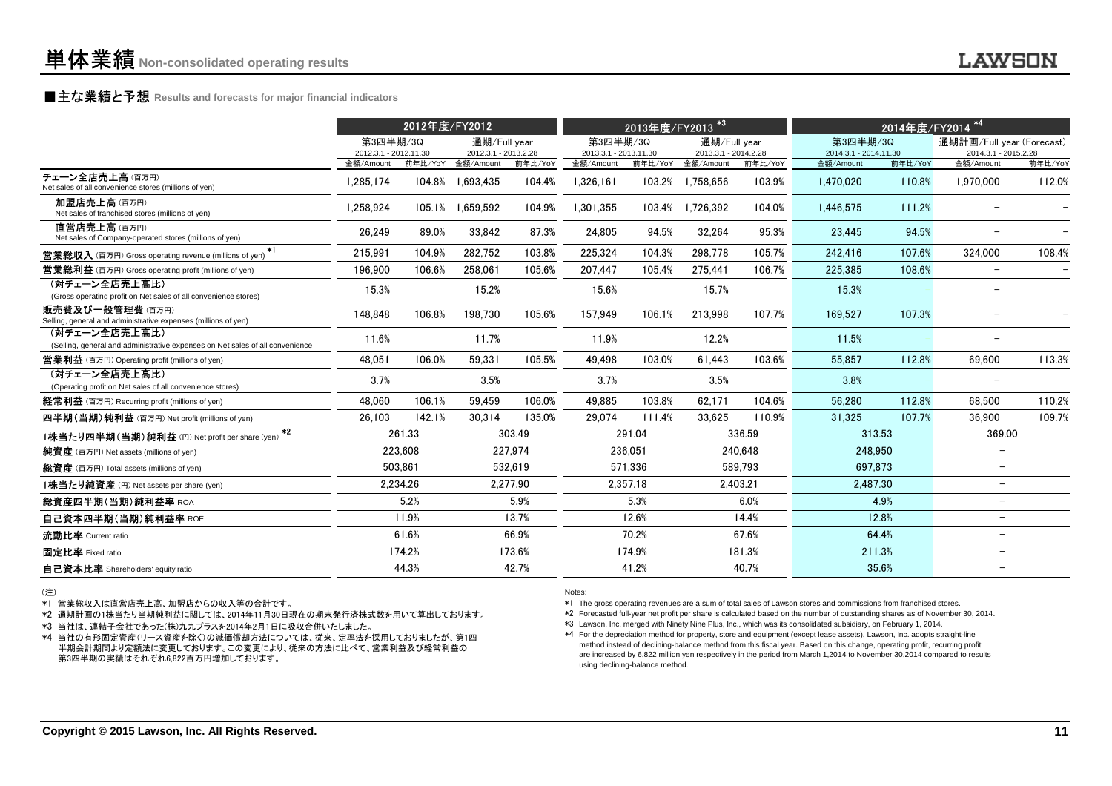### **■主な業績と予想** Results and forecasts for major financial indicators<br>
————————————————————

| 第3四半期/3Q<br>通期/Full year<br>通期/Full year<br>通期計画/Full year (Forecast)<br>第3四半期/3Q<br>第3四半期/3Q<br>2012.3.1 - 2013.2.28<br>2013.3.1 - 2014.2.28<br>2012.3.1 - 2012.11.30<br>2013.3.1 - 2013.11.30<br>2014.3.1 - 2014.11.30<br>2014.3.1 - 2015.2.28<br>金額/Amount<br>前年比/YoY<br>前年比/YoY<br>金額/Amount<br>前年比/YoY<br>金額/Amount<br>前年比/YoY<br>金額/Amount<br>前年比/YoY<br>金額/Amount<br>前年比/YoY<br>金額/Amount<br>104.4%<br>1,326,161<br>103.2%<br>110.8%<br>1,970,000<br>112.0%<br>1,285,174<br>104.8% 1,693,435<br>1,758,656<br>103.9%<br>1,470,020<br>加盟店売上高(百万円)<br>104.9%<br>111.2%<br>1.258.924<br>105.1% 1.659.592<br>1,301,355<br>103.4%<br>1.726.392<br>104.0%<br>1.446.575<br>Net sales of franchised stores (millions of yen)<br>直営店売上高(百万円)<br>26.249<br>33.842<br>87.3%<br>24.805<br>95.3%<br>94.5%<br>89.0%<br>94.5%<br>32.264<br>23.445<br>Net sales of Company-operated stores (millions of yen)<br>$*1$<br>104.9%<br>282.752<br>103.8%<br>107.6%<br>324.000<br>108.4%<br>215,991<br>225,324<br>104.3%<br>298.778<br>105.7%<br>242.416<br>196.900<br>225.385<br>108.6%<br>106.6%<br>258,061<br>105.6%<br>207,447<br>105.4%<br>275.441<br>106.7%<br>$\overline{\phantom{0}}$<br>(対チェーン全店売上高比)<br>15.3%<br>15.2%<br>15.3%<br>15.6%<br>15.7%<br>(Gross operating profit on Net sales of all convenience stores)<br>148,848<br>107.3%<br>106.8%<br>198,730<br>105.6%<br>157,949<br>106.1%<br>213,998<br>107.7%<br>169,527<br>(対チェーン全店売上高比)<br>11.6%<br>11.5%<br>11.7%<br>11.9%<br>12.2%<br>(Selling, general and administrative expenses on Net sales of all convenience<br>113.3%<br>106.0%<br>59.331<br>105.5%<br>103.0%<br>103.6%<br>112.8%<br>48.051<br>49.498<br>61.443<br>55.857<br>69.600<br>(対チェーン全店売上高比)<br>3.7%<br>3.5%<br>3.7%<br>3.5%<br>3.8%<br>(Operating profit on Net sales of all convenience stores)<br>48.060<br>106.1%<br>59.459<br>106.0%<br>104.6%<br>56,280<br>112.8%<br>68.500<br>110.2%<br>49.885<br>103.8%<br>62.171<br>26,103<br>142.1%<br>30,314<br>135.0%<br>29,074<br>111.4%<br>33,625<br>110.9%<br>31,325<br>107.7%<br>36.900<br>109.7%<br>$*2$<br>261.33<br>303.49<br>291.04<br>336.59<br>313.53<br>369.00<br>223.608<br>227.974<br>236,051<br>240.648<br>248.950<br>503.861<br>532.619<br>571.336<br>589.793<br>697.873<br>$\overline{\phantom{a}}$<br>2,234.26<br>2,277.90<br>2,357.18<br>2,403.21<br>2,487.30<br>$\overline{\phantom{0}}$<br>5.2%<br>5.9%<br>5.3%<br>6.0%<br>4.9%<br>$\overline{\phantom{0}}$<br>14.4%<br>11.9%<br>13.7%<br>12.6%<br>12.8%<br>$\overline{\phantom{0}}$<br>61.6%<br>70.2%<br>67.6%<br>64.4%<br>66.9%<br>$\overline{\phantom{0}}$<br>174.2%<br>173.6%<br>174.9%<br>181.3%<br>211.3%<br>$\overline{\phantom{0}}$<br>44.3%<br>42.7%<br>41.2%<br>40.7%<br>35.6%<br>- |                                                                                   | 2012年度/FY2012 |  |  |  | 2013年度/FY2013 <sup>*3</sup> | 2014年度/FY2014 <sup>*4</sup> |  |  |  |
|----------------------------------------------------------------------------------------------------------------------------------------------------------------------------------------------------------------------------------------------------------------------------------------------------------------------------------------------------------------------------------------------------------------------------------------------------------------------------------------------------------------------------------------------------------------------------------------------------------------------------------------------------------------------------------------------------------------------------------------------------------------------------------------------------------------------------------------------------------------------------------------------------------------------------------------------------------------------------------------------------------------------------------------------------------------------------------------------------------------------------------------------------------------------------------------------------------------------------------------------------------------------------------------------------------------------------------------------------------------------------------------------------------------------------------------------------------------------------------------------------------------------------------------------------------------------------------------------------------------------------------------------------------------------------------------------------------------------------------------------------------------------------------------------------------------------------------------------------------------------------------------------------------------------------------------------------------------------------------------------------------------------------------------------------------------------------------------------------------------------------------------------------------------------------------------------------------------------------------------------------------------------------------------------------------------------------------------------------------------------------------------------------------------------------------------------------------------------------------------------------------------------------------------------------------------------------------------------------------------------------------------------------------------------------------------------------------------------------------|-----------------------------------------------------------------------------------|---------------|--|--|--|-----------------------------|-----------------------------|--|--|--|
|                                                                                                                                                                                                                                                                                                                                                                                                                                                                                                                                                                                                                                                                                                                                                                                                                                                                                                                                                                                                                                                                                                                                                                                                                                                                                                                                                                                                                                                                                                                                                                                                                                                                                                                                                                                                                                                                                                                                                                                                                                                                                                                                                                                                                                                                                                                                                                                                                                                                                                                                                                                                                                                                                                                                  |                                                                                   |               |  |  |  |                             |                             |  |  |  |
|                                                                                                                                                                                                                                                                                                                                                                                                                                                                                                                                                                                                                                                                                                                                                                                                                                                                                                                                                                                                                                                                                                                                                                                                                                                                                                                                                                                                                                                                                                                                                                                                                                                                                                                                                                                                                                                                                                                                                                                                                                                                                                                                                                                                                                                                                                                                                                                                                                                                                                                                                                                                                                                                                                                                  |                                                                                   |               |  |  |  |                             |                             |  |  |  |
|                                                                                                                                                                                                                                                                                                                                                                                                                                                                                                                                                                                                                                                                                                                                                                                                                                                                                                                                                                                                                                                                                                                                                                                                                                                                                                                                                                                                                                                                                                                                                                                                                                                                                                                                                                                                                                                                                                                                                                                                                                                                                                                                                                                                                                                                                                                                                                                                                                                                                                                                                                                                                                                                                                                                  | チェーン全店売上高(百万円)<br>Net sales of all convenience stores (millions of yen)           |               |  |  |  |                             |                             |  |  |  |
|                                                                                                                                                                                                                                                                                                                                                                                                                                                                                                                                                                                                                                                                                                                                                                                                                                                                                                                                                                                                                                                                                                                                                                                                                                                                                                                                                                                                                                                                                                                                                                                                                                                                                                                                                                                                                                                                                                                                                                                                                                                                                                                                                                                                                                                                                                                                                                                                                                                                                                                                                                                                                                                                                                                                  |                                                                                   |               |  |  |  |                             |                             |  |  |  |
|                                                                                                                                                                                                                                                                                                                                                                                                                                                                                                                                                                                                                                                                                                                                                                                                                                                                                                                                                                                                                                                                                                                                                                                                                                                                                                                                                                                                                                                                                                                                                                                                                                                                                                                                                                                                                                                                                                                                                                                                                                                                                                                                                                                                                                                                                                                                                                                                                                                                                                                                                                                                                                                                                                                                  |                                                                                   |               |  |  |  |                             |                             |  |  |  |
|                                                                                                                                                                                                                                                                                                                                                                                                                                                                                                                                                                                                                                                                                                                                                                                                                                                                                                                                                                                                                                                                                                                                                                                                                                                                                                                                                                                                                                                                                                                                                                                                                                                                                                                                                                                                                                                                                                                                                                                                                                                                                                                                                                                                                                                                                                                                                                                                                                                                                                                                                                                                                                                                                                                                  | <b>営業総収入</b> (百万円) Gross operating revenue (millions of yen)                      |               |  |  |  |                             |                             |  |  |  |
|                                                                                                                                                                                                                                                                                                                                                                                                                                                                                                                                                                                                                                                                                                                                                                                                                                                                                                                                                                                                                                                                                                                                                                                                                                                                                                                                                                                                                                                                                                                                                                                                                                                                                                                                                                                                                                                                                                                                                                                                                                                                                                                                                                                                                                                                                                                                                                                                                                                                                                                                                                                                                                                                                                                                  | <b>営業総利益</b> (百万円) Gross operating profit (millions of yen)                       |               |  |  |  |                             |                             |  |  |  |
|                                                                                                                                                                                                                                                                                                                                                                                                                                                                                                                                                                                                                                                                                                                                                                                                                                                                                                                                                                                                                                                                                                                                                                                                                                                                                                                                                                                                                                                                                                                                                                                                                                                                                                                                                                                                                                                                                                                                                                                                                                                                                                                                                                                                                                                                                                                                                                                                                                                                                                                                                                                                                                                                                                                                  |                                                                                   |               |  |  |  |                             |                             |  |  |  |
|                                                                                                                                                                                                                                                                                                                                                                                                                                                                                                                                                                                                                                                                                                                                                                                                                                                                                                                                                                                                                                                                                                                                                                                                                                                                                                                                                                                                                                                                                                                                                                                                                                                                                                                                                                                                                                                                                                                                                                                                                                                                                                                                                                                                                                                                                                                                                                                                                                                                                                                                                                                                                                                                                                                                  | 販売費及び一般管理費(百万円)<br>Selling, general and administrative expenses (millions of yen) |               |  |  |  |                             |                             |  |  |  |
|                                                                                                                                                                                                                                                                                                                                                                                                                                                                                                                                                                                                                                                                                                                                                                                                                                                                                                                                                                                                                                                                                                                                                                                                                                                                                                                                                                                                                                                                                                                                                                                                                                                                                                                                                                                                                                                                                                                                                                                                                                                                                                                                                                                                                                                                                                                                                                                                                                                                                                                                                                                                                                                                                                                                  |                                                                                   |               |  |  |  |                             |                             |  |  |  |
|                                                                                                                                                                                                                                                                                                                                                                                                                                                                                                                                                                                                                                                                                                                                                                                                                                                                                                                                                                                                                                                                                                                                                                                                                                                                                                                                                                                                                                                                                                                                                                                                                                                                                                                                                                                                                                                                                                                                                                                                                                                                                                                                                                                                                                                                                                                                                                                                                                                                                                                                                                                                                                                                                                                                  | <b>営業利益</b> (百万円) Operating profit (millions of yen)                              |               |  |  |  |                             |                             |  |  |  |
|                                                                                                                                                                                                                                                                                                                                                                                                                                                                                                                                                                                                                                                                                                                                                                                                                                                                                                                                                                                                                                                                                                                                                                                                                                                                                                                                                                                                                                                                                                                                                                                                                                                                                                                                                                                                                                                                                                                                                                                                                                                                                                                                                                                                                                                                                                                                                                                                                                                                                                                                                                                                                                                                                                                                  |                                                                                   |               |  |  |  |                             |                             |  |  |  |
|                                                                                                                                                                                                                                                                                                                                                                                                                                                                                                                                                                                                                                                                                                                                                                                                                                                                                                                                                                                                                                                                                                                                                                                                                                                                                                                                                                                                                                                                                                                                                                                                                                                                                                                                                                                                                                                                                                                                                                                                                                                                                                                                                                                                                                                                                                                                                                                                                                                                                                                                                                                                                                                                                                                                  | 経常利益 (百万円) Recurring profit (millions of yen)                                     |               |  |  |  |                             |                             |  |  |  |
|                                                                                                                                                                                                                                                                                                                                                                                                                                                                                                                                                                                                                                                                                                                                                                                                                                                                                                                                                                                                                                                                                                                                                                                                                                                                                                                                                                                                                                                                                                                                                                                                                                                                                                                                                                                                                                                                                                                                                                                                                                                                                                                                                                                                                                                                                                                                                                                                                                                                                                                                                                                                                                                                                                                                  | 四半期(当期)純利益 (百万円) Net profit (millions of yen)                                     |               |  |  |  |                             |                             |  |  |  |
|                                                                                                                                                                                                                                                                                                                                                                                                                                                                                                                                                                                                                                                                                                                                                                                                                                                                                                                                                                                                                                                                                                                                                                                                                                                                                                                                                                                                                                                                                                                                                                                                                                                                                                                                                                                                                                                                                                                                                                                                                                                                                                                                                                                                                                                                                                                                                                                                                                                                                                                                                                                                                                                                                                                                  | 1株当たり四半期(当期)純利益 (円) Net profit per share (yen)                                    |               |  |  |  |                             |                             |  |  |  |
|                                                                                                                                                                                                                                                                                                                                                                                                                                                                                                                                                                                                                                                                                                                                                                                                                                                                                                                                                                                                                                                                                                                                                                                                                                                                                                                                                                                                                                                                                                                                                                                                                                                                                                                                                                                                                                                                                                                                                                                                                                                                                                                                                                                                                                                                                                                                                                                                                                                                                                                                                                                                                                                                                                                                  | 純資産 (百万円) Net assets (millions of yen)                                            |               |  |  |  |                             |                             |  |  |  |
|                                                                                                                                                                                                                                                                                                                                                                                                                                                                                                                                                                                                                                                                                                                                                                                                                                                                                                                                                                                                                                                                                                                                                                                                                                                                                                                                                                                                                                                                                                                                                                                                                                                                                                                                                                                                                                                                                                                                                                                                                                                                                                                                                                                                                                                                                                                                                                                                                                                                                                                                                                                                                                                                                                                                  | 総資産 (百万円) Total assets (millions of yen)                                          |               |  |  |  |                             |                             |  |  |  |
|                                                                                                                                                                                                                                                                                                                                                                                                                                                                                                                                                                                                                                                                                                                                                                                                                                                                                                                                                                                                                                                                                                                                                                                                                                                                                                                                                                                                                                                                                                                                                                                                                                                                                                                                                                                                                                                                                                                                                                                                                                                                                                                                                                                                                                                                                                                                                                                                                                                                                                                                                                                                                                                                                                                                  | 1株当たり純資産 (円) Net assets per share (yen)                                           |               |  |  |  |                             |                             |  |  |  |
|                                                                                                                                                                                                                                                                                                                                                                                                                                                                                                                                                                                                                                                                                                                                                                                                                                                                                                                                                                                                                                                                                                                                                                                                                                                                                                                                                                                                                                                                                                                                                                                                                                                                                                                                                                                                                                                                                                                                                                                                                                                                                                                                                                                                                                                                                                                                                                                                                                                                                                                                                                                                                                                                                                                                  | 総資産四半期(当期)純利益率 ROA                                                                |               |  |  |  |                             |                             |  |  |  |
|                                                                                                                                                                                                                                                                                                                                                                                                                                                                                                                                                                                                                                                                                                                                                                                                                                                                                                                                                                                                                                                                                                                                                                                                                                                                                                                                                                                                                                                                                                                                                                                                                                                                                                                                                                                                                                                                                                                                                                                                                                                                                                                                                                                                                                                                                                                                                                                                                                                                                                                                                                                                                                                                                                                                  | 自己資本四半期(当期)純利益率 ROE                                                               |               |  |  |  |                             |                             |  |  |  |
|                                                                                                                                                                                                                                                                                                                                                                                                                                                                                                                                                                                                                                                                                                                                                                                                                                                                                                                                                                                                                                                                                                                                                                                                                                                                                                                                                                                                                                                                                                                                                                                                                                                                                                                                                                                                                                                                                                                                                                                                                                                                                                                                                                                                                                                                                                                                                                                                                                                                                                                                                                                                                                                                                                                                  | 流動比率 Current ratio                                                                |               |  |  |  |                             |                             |  |  |  |
|                                                                                                                                                                                                                                                                                                                                                                                                                                                                                                                                                                                                                                                                                                                                                                                                                                                                                                                                                                                                                                                                                                                                                                                                                                                                                                                                                                                                                                                                                                                                                                                                                                                                                                                                                                                                                                                                                                                                                                                                                                                                                                                                                                                                                                                                                                                                                                                                                                                                                                                                                                                                                                                                                                                                  | 固定比率 Fixed ratio                                                                  |               |  |  |  |                             |                             |  |  |  |
|                                                                                                                                                                                                                                                                                                                                                                                                                                                                                                                                                                                                                                                                                                                                                                                                                                                                                                                                                                                                                                                                                                                                                                                                                                                                                                                                                                                                                                                                                                                                                                                                                                                                                                                                                                                                                                                                                                                                                                                                                                                                                                                                                                                                                                                                                                                                                                                                                                                                                                                                                                                                                                                                                                                                  | 自己資本比率 Shareholders' equity ratio                                                 |               |  |  |  |                             |                             |  |  |  |

(注)

\*1 営業総収入は直営店売上高、加盟店からの収入等の合計です。

\*2 通期計画の1株当たり当期純利益に関しては、2014年11月30日現在の期末発行済株式数を用いて算出しております。

\*3 当社は、連結子会社であった(株)九九プラスを2014年2月1日に吸収合併いたしました。

 \*4 当社の有形固定資産(リース資産を除く)の減価償却方法については、従来、定率法を採用しておりましたが、第1四 半期会計期間より定額法に変更しております。この変更により、従来の方法に比べて、営業利益及び経常利益の第3四半期の実績はそれぞれ6,822百万円増加しております。

#### Notes:

\*1 The gross operating revenues are a sum of total sales of Lawson stores and commissions from franchised stores.

\*2 Forecasted full-year net profit per share is calculated based on the number of outstanding shares as of November 30, 2014.

\*3 Lawson, Inc. merged with Ninety Nine Plus, Inc., which was its consolidated subsidiary, on February 1, 2014.

 \*4 For the depreciation method for property, store and equipment (except lease assets), Lawson, Inc. adopts straight-line method instead of declining-balance method from this fiscal year. Based on this change, operating profit, recurring profit are increased by 6,822 million yen respectively in the period from March 1,2014 to November 30,2014 compared to resultsusing declining-balance method.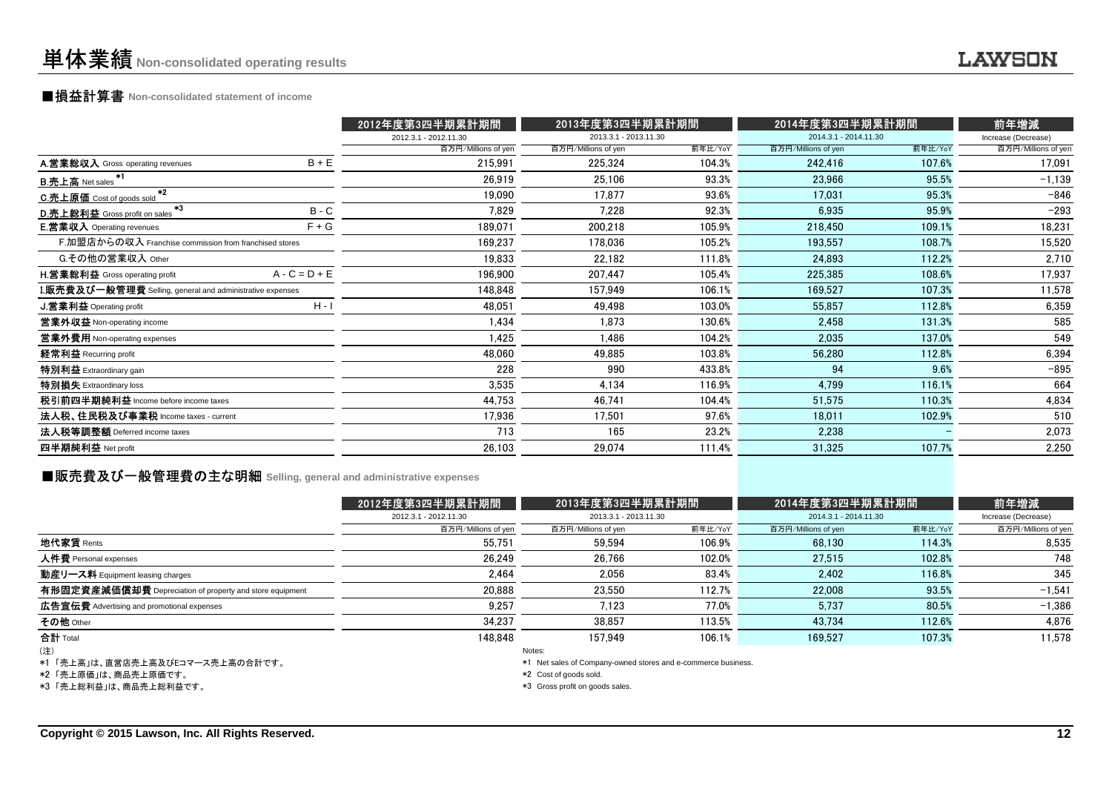### ■損益計算書 **Non-consolidated statement of income**

|                                                                  |                 | 2012年度第3四半期累計期間       | 2013年度第3四半期累計期間       |         | 2014年度第3四半期累計期間       |         | 前年増減                |
|------------------------------------------------------------------|-----------------|-----------------------|-----------------------|---------|-----------------------|---------|---------------------|
|                                                                  |                 | 2012.3.1 - 2012.11.30 | 2013.3.1 - 2013.11.30 |         | 2014.3.1 - 2014.11.30 |         | Increase (Decrease) |
|                                                                  |                 | 百万円/Millions of yen   | 百万円/Millions of yen   | 前年比/YoY | 百万円/Millions of yen   | 前年比/YoY | 百万円/Millions of yen |
| A.営業総収入 Gross operating revenues                                 | $B + E$         | 215,991               | 225,324               | 104.3%  | 242,416               | 107.6%  | 17,091              |
| <b>B.売上高</b> Net sales                                           |                 | 26,919                | 25,106                | 93.3%   | 23,966                | 95.5%   | $-1,139$            |
| $*2$<br>C.売上原価 Cost of goods sold                                |                 | 19,090                | 17,877                | 93.6%   | 17.031                | 95.3%   | $-846$              |
| $*3$<br>D.売上総利益 Gross profit on sales                            | $B - C$         | 7,829                 | 7,228                 | 92.3%   | 6,935                 | 95.9%   | $-293$              |
| <b>E.営業収入</b> Operating revenues                                 | $F + G$         | 189,071               | 200,218               | 105.9%  | 218,450               | 109.1%  | 18,231              |
| F.加盟店からの収入 Franchise commission from franchised stores           |                 | 169,237               | 178,036               | 105.2%  | 193,557               | 108.7%  | 15,520              |
| G.その他の営業収入 Other                                                 |                 | 19,833                | 22,182                | 111.8%  | 24,893                | 112.2%  | 2,710               |
| H.営業総利益 Gross operating profit                                   | $A - C = D + E$ | 196,900               | 207,447               | 105.4%  | 225,385               | 108.6%  | 17,937              |
| <b>I.販売費及び一般管理費</b> Selling, general and administrative expenses |                 | 148,848               | 157,949               | 106.1%  | 169,527               | 107.3%  | 11,578              |
| J.営業利益 Operating profit                                          | $H - I$         | 48,051                | 49,498                | 103.0%  | 55,857                | 112.8%  | 6,359               |
| 営業外収益 Non-operating income                                       |                 | 1,434                 | 1.873                 | 130.6%  | 2,458                 | 131.3%  | 585                 |
| 営業外費用 Non-operating expenses                                     |                 | 1,425                 | 1,486                 | 104.2%  | 2,035                 | 137.0%  | 549                 |
| 経常利益 Recurring profit                                            |                 | 48,060                | 49,885                | 103.8%  | 56,280                | 112.8%  | 6,394               |
| 特別利益 Extraordinary gain                                          |                 | 228                   | 990                   | 433.8%  | 94                    | 9.6%    | $-895$              |
| 特別損失 Extraordinary loss                                          |                 | 3,535                 | 4,134                 | 116.9%  | 4,799                 | 116.1%  | 664                 |
| 税引前四半期純利益 Income before income taxes                             |                 | 44,753                | 46,741                | 104.4%  | 51,575                | 110.3%  | 4,834               |
| 法人税、住民税及び事業税 Income taxes - current                              |                 | 17,936                | 17,501                | 97.6%   | 18.011                | 102.9%  | 510                 |
| 法人税等調整額 Deferred income taxes                                    |                 | 713                   | 165                   | 23.2%   | 2,238                 |         | 2,073               |
| 四半期純利益 Net profit                                                |                 | 26,103                | 29,074                | 111.4%  | 31,325                | 107.7%  | 2,250               |
|                                                                  |                 |                       |                       |         |                       |         |                     |

# ■販売費及び一般管理費の主な明細 **Selling, general and administrative expenses**

|                                                          | 2012年度第3四半期累計期間       | 2013年度第3四半期累計期間       |         | 2014年度第3四半期累計期間       |         | 前年増減                |
|----------------------------------------------------------|-----------------------|-----------------------|---------|-----------------------|---------|---------------------|
|                                                          | 2012.3.1 - 2012.11.30 | 2013.3.1 - 2013.11.30 |         | 2014.3.1 - 2014.11.30 |         | Increase (Decrease) |
|                                                          | 百万円/Millions of yen   | 百万円/Millions of yen   | 前年比/YoY | 百万円/Millions of yen   | 前年比/YoY | 百万円/Millions of yen |
| 地代家賃 Rents                                               | 55.751                | 59.594                | 106.9%  | 68.130                | 114.3%  | 8,535               |
| 人件費 Personal expenses                                    | 26.249                | 26.766                | 102.0%  | 27.515                | 102.8%  | 748                 |
| 動産リース料 Equipment leasing charges                         | 2.464                 | 2.056                 | 83.4%   | 2.402                 | 116.8%  | 345                 |
| 有形固定資産減価償却費 Depreciation of property and store equipment | 20,888                | 23.550                | 112.7%  | 22.008                | 93.5%   | $-1,541$            |
| 広告宣伝費 Advertising and promotional expenses               | 9,257                 | 7.123                 | 77.0%   | 5.737                 | 80.5%   | $-1,386$            |
| その他 Other                                                | 34.237                | 38.857                | 113.5%  | 43.734                | 112.6%  | 4,876               |
| 合計 Total                                                 | 148.848               | 157.949               | 106.1%  | 169.527               | 107.3%  | 11,578              |
| (注)                                                      |                       | Notes:                |         |                       |         |                     |

\*1 「売上高」は、直営店売上高及びEコマース売上高の合計です。

\*2 「売上原価」は、商品売上原価です。

\*3 「売上総利益」は、商品売上総利益です。

\*1 Net sales of Company-owned stores and e-commerce business.

\*2 Cost of goods sold.

\*3 Gross profit on goods sales.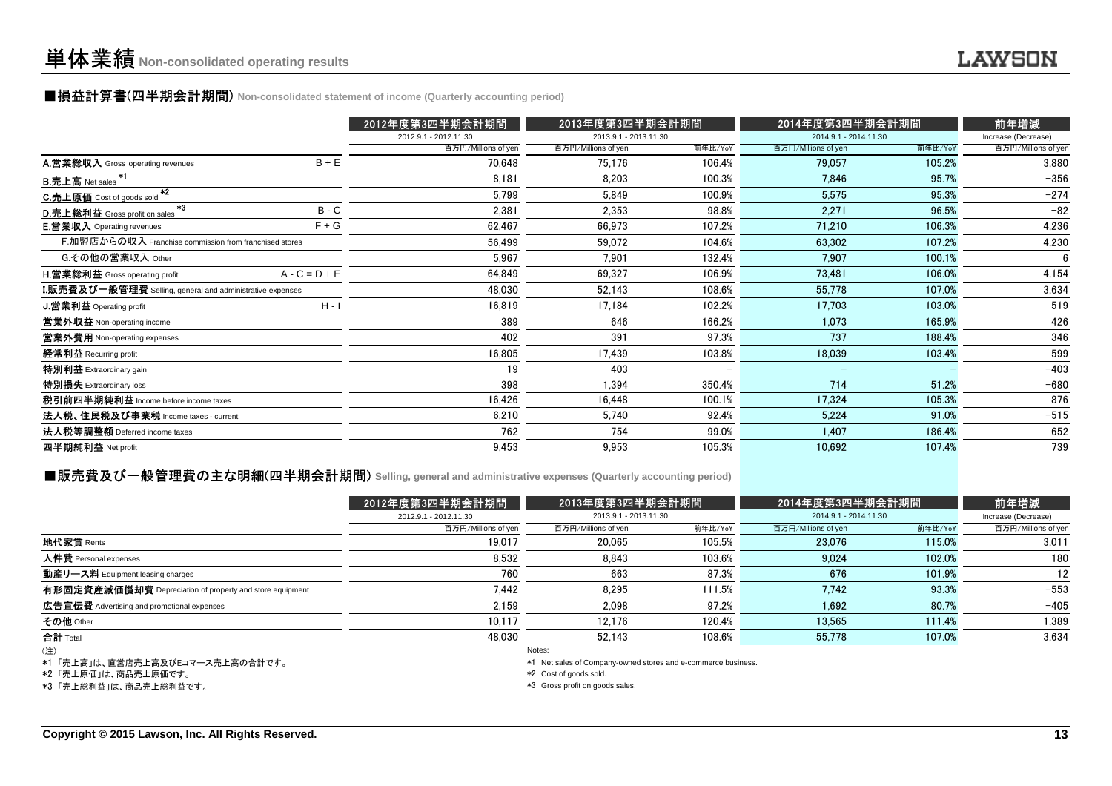#### ■損益計算書(四半期会計期間) **Non-consolidated statement of income (Quarterly accounting period)**

|                                                           |                 | 2012年度第3四半期会計期間       | 2013年度第3四半期会計期間       |         | 2014年度第3四半期会計期間       |         | 前年増減                |
|-----------------------------------------------------------|-----------------|-----------------------|-----------------------|---------|-----------------------|---------|---------------------|
|                                                           |                 | 2012.9.1 - 2012.11.30 | 2013.9.1 - 2013.11.30 |         | 2014.9.1 - 2014.11.30 |         | Increase (Decrease) |
|                                                           |                 | 百万円/Millions of yen   | 百万円/Millions of yen   | 前年比/YoY | 百万円/Millions of yen   | 前年比/YoY | 百万円/Millions of yen |
| A.営業総収入 Gross operating revenues                          | $B + E$         | 70,648                | 75,176                | 106.4%  | 79,057                | 105.2%  | 3,880               |
| <b>B.売上高</b> Net sales                                    |                 | 8.181                 | 8.203                 | 100.3%  | 7,846                 | 95.7%   | $-356$              |
| $+2$<br>C.売上原価 Cost of goods sold                         |                 | 5,799                 | 5.849                 | 100.9%  | 5,575                 | 95.3%   | $-274$              |
| $*3$<br>D.売上総利益 Gross profit on sales                     | $B - C$         | 2,381                 | 2.353                 | 98.8%   | 2.271                 | 96.5%   | $-82$               |
| <b>E.営業収入</b> Operating revenues                          | $F + G$         | 62,467                | 66,973                | 107.2%  | 71,210                | 106.3%  | 4,236               |
| F.加盟店からの収入 Franchise commission from franchised stores    |                 | 56,499                | 59,072                | 104.6%  | 63,302                | 107.2%  | 4,230               |
| G.その他の営業収入 Other                                          |                 | 5,967                 | 7.901                 | 132.4%  | 7.907                 | 100.1%  | 6                   |
| H. 営業総利益 Gross operating profit                           | $A - C = D + E$ | 64,849                | 69,327                | 106.9%  | 73,481                | 106.0%  | 4,154               |
| I.販売費及び一般管理費 Selling, general and administrative expenses |                 | 48,030                | 52,143                | 108.6%  | 55,778                | 107.0%  | 3,634               |
| J. 営業利益 Operating profit                                  | $H - I$         | 16,819                | 17,184                | 102.2%  | 17,703                | 103.0%  | 519                 |
| 営業外収益 Non-operating income                                |                 | 389                   | 646                   | 166.2%  | 1.073                 | 165.9%  | 426                 |
| 営業外費用 Non-operating expenses                              |                 | 402                   | 391                   | 97.3%   | 737                   | 188.4%  | 346                 |
| 経常利益 Recurring profit                                     |                 | 16,805                | 17,439                | 103.8%  | 18,039                | 103.4%  | 599                 |
| 特別利益 Extraordinary gain                                   |                 | 19                    | 403                   |         | $\qquad \qquad -$     |         | $-403$              |
| 特別損失 Extraordinary loss                                   |                 | 398                   | 1,394                 | 350.4%  | 714                   | 51.2%   | $-680$              |
| 税引前四半期純利益 Income before income taxes                      |                 | 16,426                | 16,448                | 100.1%  | 17,324                | 105.3%  | 876                 |
| 法人税、住民税及び事業税 Income taxes - current                       |                 | 6,210                 | 5.740                 | 92.4%   | 5,224                 | 91.0%   | $-515$              |
| 法人税等調整額 Deferred income taxes                             |                 | 762                   | 754                   | 99.0%   | 1,407                 | 186.4%  | 652                 |
| 四半期純利益 Net profit                                         |                 | 9,453                 | 9,953                 | 105.3%  | 10,692                | 107.4%  | 739                 |
|                                                           |                 |                       |                       |         |                       |         |                     |

#### **■販売費及び一般管理費の主な明細(四半期会計期間)** Selling, general and administrative expenses (Quarterly accounting period)

|                                                          | 2012年度第3四半期会計期間       | 2013年度第3四半期会計期間       |         | 2014年度第3四半期会計期間       |         | 前年増減                |
|----------------------------------------------------------|-----------------------|-----------------------|---------|-----------------------|---------|---------------------|
|                                                          | 2012.9.1 - 2012.11.30 | 2013.9.1 - 2013.11.30 |         | 2014.9.1 - 2014.11.30 |         | Increase (Decrease) |
|                                                          | 百万円/Millions of yen   | 百万円/Millions of yen   | 前年比/YoY | 百万円/Millions of yen   | 前年比/YoY | 百万円/Millions of yen |
| 地代家賃 Rents                                               | 19,017                | 20,065                | 105.5%  | 23.076                | 115.0%  | 3,011               |
| 人件費 Personal expenses                                    | 8,532                 | 8.843                 | 103.6%  | 9.024                 | 102.0%  | 180                 |
| 動産リース料 Equipment leasing charges                         | 760                   | 663                   | 87.3%   | 676                   | 101.9%  | 12                  |
| 有形固定資産減価償却費 Depreciation of property and store equipment | 7,442                 | 8.295                 | 111.5%  | 7.742                 | 93.3%   | $-553$              |
| <b>広告宣伝費</b> Advertising and promotional expenses        | 2.159                 | 2.098                 | 97.2%   | 1.692                 | 80.7%   | $-405$              |
| その他 Other                                                | 10,117                | 12.176                | 120.4%  | 13,565                | 111.4%  | 1,389               |
| 合計 Total                                                 | 48.030                | 52.143                | 108.6%  | 55.778                | 107.0%  | 3.634               |
| (注)                                                      |                       | Notes:                |         |                       |         |                     |

\*1 「売上高」は、直営店売上高及びEコマース売上高の合計です。

\*2 「売上原価」は、商品売上原価です。

\*3 「売上総利益」は、商品売上総利益です。

\*1 Net sales of Company-owned stores and e-commerce business.

\*2 Cost of goods sold.

\*3 Gross profit on goods sales.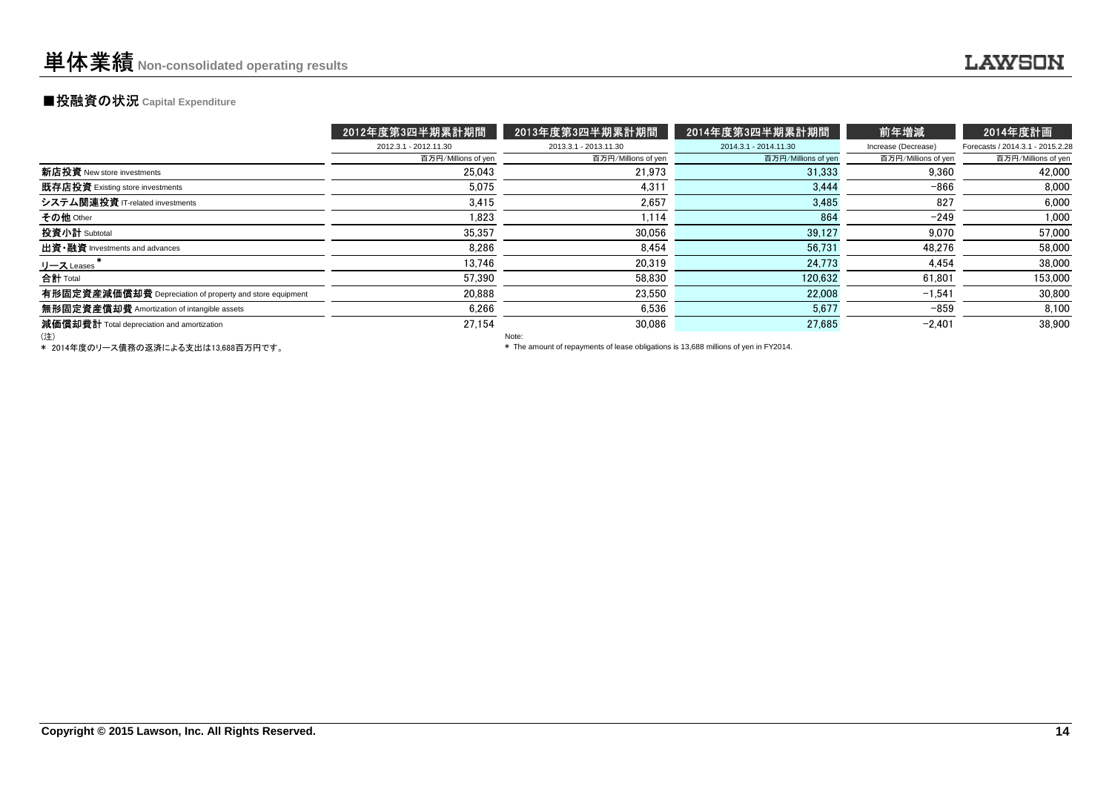#### **■投融資の状況 Capital Expenditure**

|                                                          | 2012年度第3四半期累計期間       | 2013年度第3四半期累計期間                                                                      | 2014年度第3四半期累計期間       | 前年増減                | 2014年度計画                         |  |  |
|----------------------------------------------------------|-----------------------|--------------------------------------------------------------------------------------|-----------------------|---------------------|----------------------------------|--|--|
|                                                          | 2012.3.1 - 2012.11.30 | 2013.3.1 - 2013.11.30                                                                | 2014.3.1 - 2014.11.30 | Increase (Decrease) | Forecasts / 2014.3.1 - 2015.2.28 |  |  |
|                                                          | 百万円/Millions of yen   | 百万円/Millions of yen                                                                  | 百万円/Millions of yen   | 百万円/Millions of yen | 百万円/Millions of yen              |  |  |
| 新店投資 New store investments                               | 25.043                | 21.973                                                                               | 31,333                | 9.360               | 42,000                           |  |  |
| 既存店投資 Existing store investments                         | 5,075                 | 4,311                                                                                | 3,444                 | $-866$              | 8.000                            |  |  |
| システム関連投資 IT-related investments                          | 3.415                 | 2.657                                                                                | 3.485                 | 827                 | 6.000                            |  |  |
| その他 Other                                                | 1,823                 | 1,114                                                                                | 864                   | $-249$              | 1,000                            |  |  |
| 投資小計 Subtotal                                            | 35.357                | 30.056                                                                               | 39,127                | 9.070               | 57,000                           |  |  |
| 出資 · 融資 Investments and advances                         | 8,286                 | 8.454                                                                                | 56,731                | 48.276              | 58,000                           |  |  |
| リース Leases                                               | 13.746                | 20.319                                                                               | 24.773                | 4,454               | 38,000                           |  |  |
| 合計 Total                                                 | 57,390                | 58,830                                                                               | 120,632               | 61,801              | 153,000                          |  |  |
| 有形固定資産減価償却費 Depreciation of property and store equipment | 20.888                | 23.550                                                                               | 22,008                | $-1.541$            | 30,800                           |  |  |
| 無形固定資産償却費 Amortization of intangible assets              | 6,266                 | 6,536                                                                                | 5,677                 | $-859$              | 8,100                            |  |  |
| 減価償却費計 Total depreciation and amortization               | 27.154                | 30.086                                                                               | 27,685                | $-2,401$            | 38,900                           |  |  |
| (注)                                                      |                       | Note:                                                                                |                       |                     |                                  |  |  |
| * 2014年度のリース債務の返済による支出は13.688百万円です。                      |                       | * The amount of repayments of lease obligations is 13,688 millions of yen in FY2014. |                       |                     |                                  |  |  |

\* 2014年度のリース債務の返済による支出は13,688百万円です。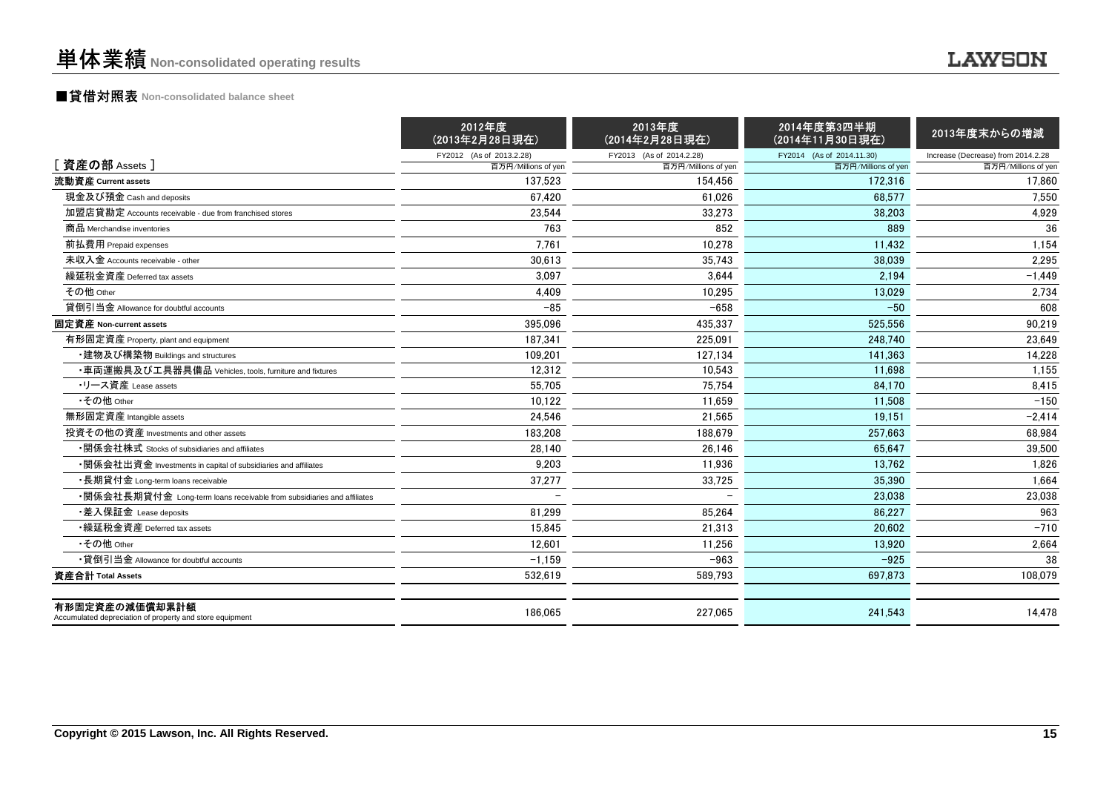### ■貸借対照表 **Non-consolidated balance sheet**

|                                                                            | 2012年度<br>(2013年2月28日現在) | 2013年度<br>(2014年2月28日現在) | 2014年度第3四半期<br>(2014年11月30日現在) | 2013年度末からの増減                       |
|----------------------------------------------------------------------------|--------------------------|--------------------------|--------------------------------|------------------------------------|
|                                                                            | FY2012 (As of 2013.2.28) | FY2013 (As of 2014.2.28) | FY2014 (As of 2014.11.30)      | Increase (Decrease) from 2014.2.28 |
| [資産の部 Assets]                                                              | 百万円/Millions of yen      | 百万円/Millions of yen      | 百万円/Millions of yen            | 百万円/Millions of yen                |
| 流動資産 Current assets                                                        | 137.523                  | 154.456                  | 172.316                        | 17,860                             |
| 現金及び預金 Cash and deposits                                                   | 67.420                   | 61.026                   | 68.577                         | 7.550                              |
| 加盟店貸勘定 Accounts receivable - due from franchised stores                    | 23,544                   | 33,273                   | 38,203                         | 4,929                              |
| 商品 Merchandise inventories                                                 | 763                      | 852                      | 889                            | 36                                 |
| 前払費用 Prepaid expenses                                                      | 7.761                    | 10,278                   | 11.432                         | 1.154                              |
| 未収入金 Accounts receivable - other                                           | 30,613                   | 35,743                   | 38.039                         | 2.295                              |
| 繰延税金資産 Deferred tax assets                                                 | 3.097                    | 3.644                    | 2.194                          | $-1,449$                           |
| その他 Other                                                                  | 4.409                    | 10.295                   | 13.029                         | 2.734                              |
| 貸倒引当金 Allowance for doubtful accounts                                      | $-85$                    | $-658$                   | $-50$                          | 608                                |
| 固定資産 Non-current assets                                                    | 395,096                  | 435,337                  | 525,556                        | 90,219                             |
| 有形固定資産 Property, plant and equipment                                       | 187.341                  | 225.091                  | 248.740                        | 23,649                             |
| ・建物及び構築物 Buildings and structures                                          | 109,201                  | 127.134                  | 141.363                        | 14,228                             |
| ・車両運搬具及び工具器具備品 Vehicles, tools, furniture and fixtures                     | 12,312                   | 10,543                   | 11,698                         | 1,155                              |
| ・リース資産 Lease assets                                                        | 55,705                   | 75,754                   | 84,170                         | 8,415                              |
| •その他 Other                                                                 | 10.122                   | 11.659                   | 11.508                         | $-150$                             |
| 無形固定資産 Intangible assets                                                   | 24,546                   | 21.565                   | 19.151                         | $-2,414$                           |
| 投資その他の資産 Investments and other assets                                      | 183,208                  | 188,679                  | 257.663                        | 68,984                             |
| •関係会社株式 Stocks of subsidiaries and affiliates                              | 28,140                   | 26.146                   | 65.647                         | 39.500                             |
| •関係会社出資金 Investments in capital of subsidiaries and affiliates             | 9.203                    | 11,936                   | 13,762                         | 1,826                              |
| ・長期貸付金 Long-term loans receivable                                          | 37,277                   | 33,725                   | 35.390                         | 1,664                              |
| •関係会社長期貸付金 Long-term loans receivable from subsidiaries and affiliates     |                          |                          | 23.038                         | 23.038                             |
| ・差入保証金 Lease deposits                                                      | 81,299                   | 85,264                   | 86.227                         | 963                                |
| •繰延税金資産 Deferred tax assets                                                | 15,845                   | 21,313                   | 20.602                         | $-710$                             |
| •その他 Other                                                                 | 12,601                   | 11.256                   | 13.920                         | 2,664                              |
| •貸倒引当金 Allowance for doubtful accounts                                     | $-1,159$                 | $-963$                   | $-925$                         | 38                                 |
| 資産合計 Total Assets                                                          | 532,619                  | 589,793                  | 697,873                        | 108,079                            |
| 有形固定資産の減価償却累計額<br>Accumulated depreciation of property and store equipment | 186.065                  | 227.065                  | 241.543                        | 14.478                             |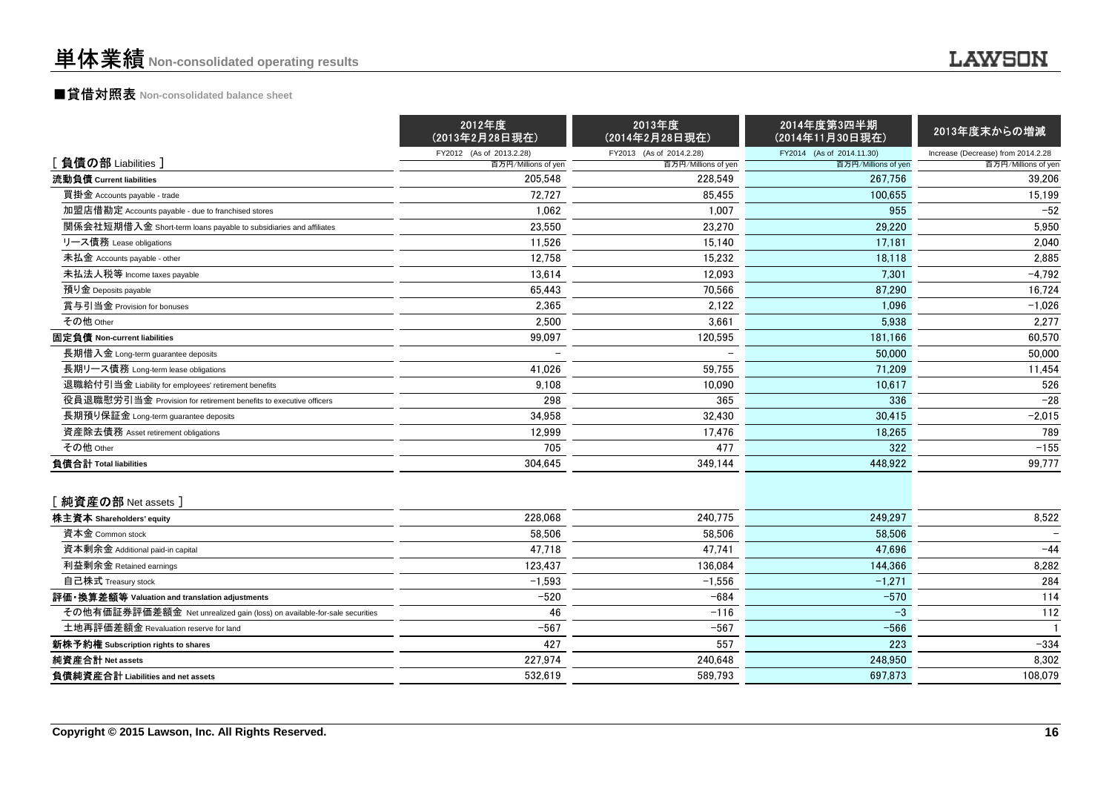### ■貸借対照表 **Non-consolidated balance sheet**

|                                                                          | 2012年度<br>(2013年2月28日現在) | 2013年度<br>(2014年2月28日現在) | 2014年度第3四半期<br>(2014年11月30日現在) | 2013年度末からの増減                       |
|--------------------------------------------------------------------------|--------------------------|--------------------------|--------------------------------|------------------------------------|
|                                                                          | FY2012 (As of 2013.2.28) | FY2013 (As of 2014.2.28) | FY2014 (As of 2014.11.30)      | Increase (Decrease) from 2014.2.28 |
| [負債の部 Liabilities]                                                       | 百万円/Millions of yen      | 百万円/Millions of yen      | 百万円/Millions of yen            | 百万円/Millions of yen                |
| 流動負債 Current liabilities                                                 | 205,548                  | 228,549                  | 267.756                        | 39,206                             |
| 買掛金 Accounts payable - trade                                             | 72,727                   | 85,455                   | 100,655                        | 15,199                             |
| 加盟店借勘定 Accounts payable - due to franchised stores                       | 1.062                    | 1,007                    | 955                            | $-52$                              |
| 関係会社短期借入金 Short-term loans payable to subsidiaries and affiliates        | 23,550                   | 23,270                   | 29,220                         | 5,950                              |
| リース債務 Lease obligations                                                  | 11,526                   | 15.140                   | 17.181                         | 2,040                              |
| 未払金 Accounts payable - other                                             | 12,758                   | 15,232                   | 18,118                         | 2,885                              |
| 未払法人税等 Income taxes payable                                              | 13,614                   | 12,093                   | 7,301                          | $-4,792$                           |
| 預り金 Deposits payable                                                     | 65,443                   | 70,566                   | 87,290                         | 16,724                             |
| 賞与引当金 Provision for bonuses                                              | 2,365                    | 2,122                    | 1,096                          | $-1,026$                           |
| その他 Other                                                                | 2,500                    | 3,661                    | 5,938                          | 2,277                              |
| 固定負債 Non-current liabilities                                             | 99,097                   | 120,595                  | 181,166                        | 60,570                             |
| 長期借入金 Long-term guarantee deposits                                       |                          |                          | 50,000                         | 50,000                             |
| 長期リース債務 Long-term lease obligations                                      | 41.026                   | 59,755                   | 71.209                         | 11,454                             |
| 退職給付引当金 Liability for employees' retirement benefits                     | 9.108                    | 10,090                   | 10.617                         | 526                                |
| 役員退職慰労引当金 Provision for retirement benefits to executive officers        | 298                      | 365                      | 336                            | $-28$                              |
| 長期預り保証金 Long-term quarantee deposits                                     | 34,958                   | 32.430                   | 30.415                         | $-2,015$                           |
| 資産除去債務 Asset retirement obligations                                      | 12,999                   | 17,476                   | 18,265                         | 789                                |
| その他 Other                                                                | 705                      | 477                      | 322                            | $-155$                             |
| 負債合計 Total liabilities                                                   | 304.645                  | 349,144                  | 448.922                        | 99,777                             |
| [純資産の部 Net assets]                                                       |                          |                          |                                |                                    |
| 株主資本 Shareholders' equity                                                | 228,068                  | 240,775                  | 249,297                        | 8,522                              |
| 資本金 Common stock                                                         | 58,506                   | 58,506                   | 58,506                         |                                    |
| 資本剰余金 Additional paid-in capital                                         | 47,718                   | 47,741                   | 47.696                         | $-44$                              |
| 利益剰余金 Retained earnings                                                  | 123.437                  | 136.084                  | 144.366                        | 8,282                              |
| 自己株式 Treasury stock                                                      | $-1,593$                 | $-1.556$                 | $-1,271$                       | 284                                |
| 評価・換算差額等 Valuation and translation adjustments                           | $-520$                   | $-684$                   | $-570$                         | 114                                |
| その他有価証券評価差額金 Net unrealized gain (loss) on available-for-sale securities | 46                       | $-116$                   | $-3$                           | 112                                |
| 土地再評価差額金 Revaluation reserve for land                                    | $-567$                   | $-567$                   | $-566$                         | $\mathbf{1}$                       |
| 新株予約権 Subscription rights to shares                                      | 427                      | 557                      | 223                            | $-334$                             |
| 純資産合計 Net assets                                                         | 227,974                  | 240,648                  | 248,950                        | 8,302                              |
| 負債純資産合計 Liabilities and net assets                                       | 532.619                  | 589,793                  | 697,873                        | 108,079                            |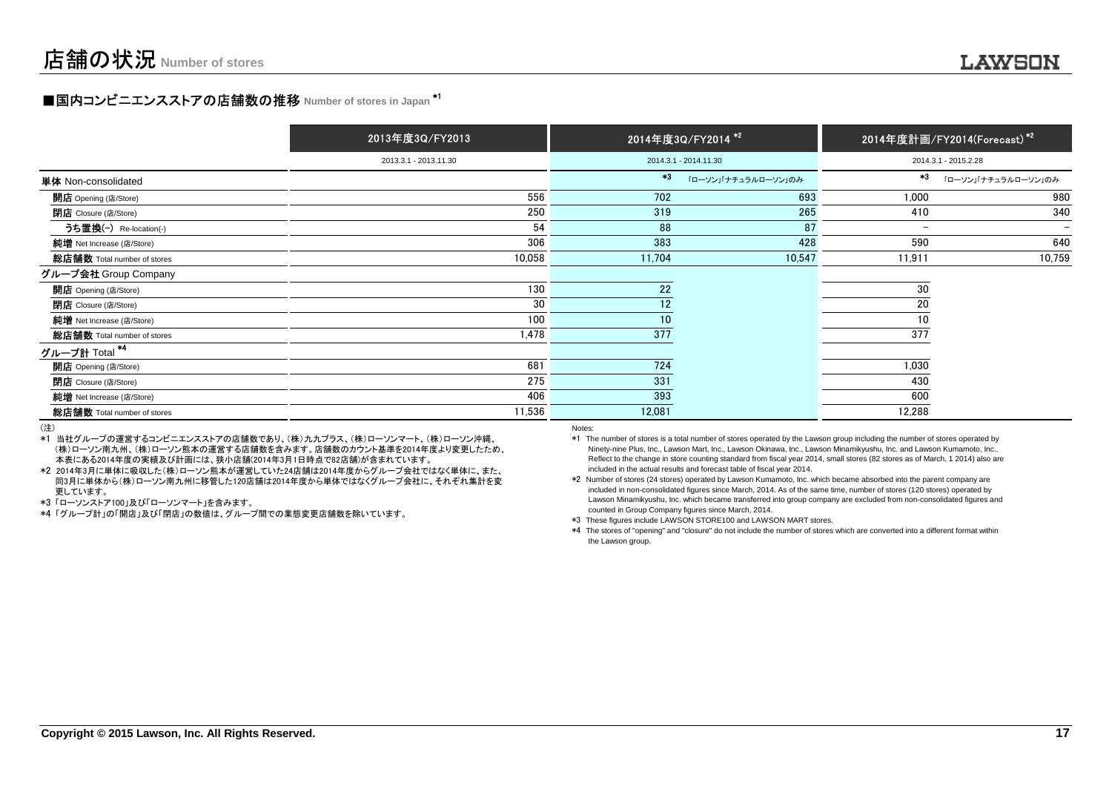# **■国内コンビニエンスストアの店舗数の推移 Number of stores in Japan <sup>\*1</sup>**

|                             | 2013年度3Q/FY2013       |        | 2014年度3Q/FY2014 <sup>*2</sup> |                          | 2014年度計画/FY2014(Forecast) <sup>*2</sup> |
|-----------------------------|-----------------------|--------|-------------------------------|--------------------------|-----------------------------------------|
|                             | 2013.3.1 - 2013.11.30 |        | 2014.3.1 - 2014.11.30         |                          | 2014.3.1 - 2015.2.28                    |
| 単体 Non-consolidated         |                       | $*3$   | 「ローソン」「ナチュラルローソン」のみ           | $*3$                     | 「ローソン」「ナチュラルローソン」のみ                     |
| <b>開店</b> Opening (店/Store) | 556                   | 702    | 693                           | 1,000                    | 980                                     |
| <b>閉店</b> Closure (店/Store) | 250                   | 319    | 265                           | 410                      | 340                                     |
| うち置換(-) Re-location(-)      | 54                    | 88     | 87                            | $\overline{\phantom{a}}$ |                                         |
| 純增 Net Increase (店/Store)   | 306                   | 383    | 428                           | 590                      | 640                                     |
| 総店舗数 Total number of stores | 10,058                | 11,704 | 10,547                        | 11,911                   | 10,759                                  |
| グループ会社 Group Company        |                       |        |                               |                          |                                         |
| <b>開店</b> Opening (店/Store) | 130                   | 22     |                               | 30                       |                                         |
| <b>閉店</b> Closure (店/Store) | 30                    | 12     |                               | 20                       |                                         |
| 純増 Net Increase (店/Store)   | 100                   | 10     |                               | 10                       |                                         |
| 総店舗数 Total number of stores | 1,478                 | 377    |                               | 377                      |                                         |
| グループ計 Total <sup>*4</sup>   |                       |        |                               |                          |                                         |
| 開店 Opening (店/Store)        | 681                   | 724    |                               | 1,030                    |                                         |
| <b>閉店</b> Closure (店/Store) | 275                   | 331    |                               | 430                      |                                         |
| 純増 Net Increase (店/Store)   | 406                   | 393    |                               | 600                      |                                         |
| 総店舗数 Total number of stores | 11,536                | 12,081 |                               | 12,288                   |                                         |
|                             |                       |        |                               |                          |                                         |

(注)

 \*1 当社グループの運営するコンビニエンスストアの店舗数であり、(株)九九プラス、(株)ローソンマート、(株)ローソン沖縄、 (株)ローソン南九州、(株)ローソン熊本の運営する店舗数を含みます。店舗数のカウント基準を2014年度より変更したため、本表にある2014年度の実績及び計画には、狭小店舗(2014年3月1日時点で82店舗)が含まれています。

 \*2 2014年3月に単体に吸収した(株)ローソン熊本が運営していた24店舗は2014年度からグループ会社ではなく単体に、また、 同3月に単体から(株)ローソン南九州に移管した120店舗は2014年度から単体ではなくグループ会社に、それぞれ集計を変更しています。

\*3 「ローソンストア100」及び「ローソンマート」を含みます。

\*4 「グループ計」の「開店」及び「閉店」の数値は、グループ間での業態変更店舗数を除いています。

Notes:

 \*1 The number of stores is a total number of stores operated by the Lawson group including the number of stores operated by Ninety-nine Plus, Inc., Lawson Mart, Inc., Lawson Okinawa, Inc., Lawson Minamikyushu, Inc. and Lawson Kumamoto, Inc.. Reflect to the change in store counting standard from fiscal year 2014, small stores (82 stores as of March, 1 2014) also areincluded in the actual results and forecast table of fiscal year 2014.

 \*2 Number of stores (24 stores) operated by Lawson Kumamoto, Inc. which became absorbed into the parent company are included in non-consolidated figures since March, 2014. As of the same time, number of stores (120 stores) operated by Lawson Minamikyushu, Inc. which became transferred into group company are excluded from non-consolidated figures andcounted in Group Company figures since March, 2014.

\*3 These figures include LAWSON STORE100 and LAWSON MART stores.

 \*4 The stores of "opening" and "closure" do not include the number of stores which are converted into a different format withinthe Lawson group.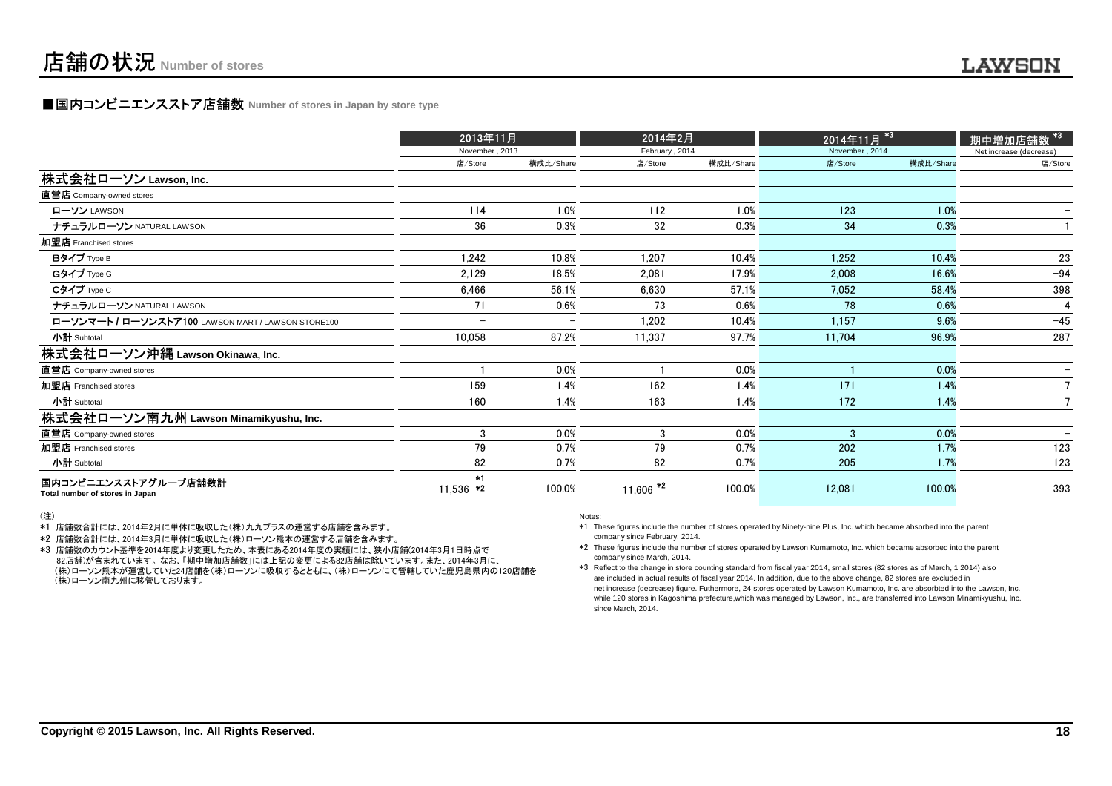### **■国内コンビニエンスストア店舗数 Number of stores in Japan by store type**

|                                                         | 2013年11月            |                          | 2014年2月                |           | 2014年11月 <sup>*3</sup> |           |                         |  |
|---------------------------------------------------------|---------------------|--------------------------|------------------------|-----------|------------------------|-----------|-------------------------|--|
|                                                         | November, 2013      |                          | February, 2014         |           | November, 2014         |           | Net increase (decrease) |  |
|                                                         | 店/Store             | 構成比/Share                | 店/Store                | 構成比/Share | 店/Store                | 構成比/Share | 店/Store                 |  |
| 株式会社ローソン Lawson, Inc.                                   |                     |                          |                        |           |                        |           |                         |  |
| 直営店 Company-owned stores                                |                     |                          |                        |           |                        |           |                         |  |
| ローソン LAWSON                                             | 114                 | 1.0%                     | 112                    | 1.0%      | 123                    | 1.0%      |                         |  |
| ナチュラルローソン NATURAL LAWSON                                | 36                  | 0.3%                     | 32                     | 0.3%      | 34                     | 0.3%      |                         |  |
| 加盟店 Franchised stores                                   |                     |                          |                        |           |                        |           |                         |  |
| Bタイプ Type B                                             | 1,242               | 10.8%                    | 1,207                  | 10.4%     | 1,252                  | 10.4%     | 23                      |  |
| Gタイプ Type G                                             | 2,129               | 18.5%                    | 2,081                  | 17.9%     | 2,008                  | 16.6%     | $-94$                   |  |
| Cタイプ Type C                                             | 6,466               | 56.1%                    | 6,630                  | 57.1%     | 7,052                  | 58.4%     | 398                     |  |
| ナチュラルローソン NATURAL LAWSON                                | 71                  | 0.6%                     | 73                     | 0.6%      | 78                     | 0.6%      |                         |  |
| ローソンマート / ローソンストア100 LAWSON MART / LAWSON STORE100      | -                   | $\overline{\phantom{0}}$ | 1,202                  | 10.4%     | 1,157                  | 9.6%      | $-45$                   |  |
| 小計 Subtotal                                             | 10,058              | 87.2%                    | 11.337                 | 97.7%     | 11,704                 | 96.9%     | 287                     |  |
| 株式会社ローソン沖縄 Lawson Okinawa, Inc.                         |                     |                          |                        |           |                        |           |                         |  |
| 直営店 Company-owned stores                                |                     | 0.0%                     |                        | 0.0%      |                        | 0.0%      |                         |  |
| 加盟店 Franchised stores                                   | 159                 | 1.4%                     | 162                    | 1.4%      | 171                    | 1.4%      |                         |  |
| 小計 Subtotal                                             | 160                 | 1.4%                     | 163                    | 1.4%      | 172                    | 1.4%      |                         |  |
| 株式会社ローソン南九州 Lawson Minamikyushu, Inc.                   |                     |                          |                        |           |                        |           |                         |  |
| 直営店 Company-owned stores                                | 3                   | 0.0%                     | 3                      | 0.0%      | $\mathbf{R}$           | 0.0%      |                         |  |
| 加盟店 Franchised stores                                   | 79                  | 0.7%                     | 79                     | 0.7%      | 202                    | 1.7%      | 123                     |  |
| 小計 Subtotal                                             | 82                  | 0.7%                     | 82                     | 0.7%      | 205                    | 1.7%      | 123                     |  |
| 国内コンビニエンスストアグループ店舗数計<br>Total number of stores in Japan | $*1$<br>$11,536$ *2 | 100.0%                   | $11,606$ <sup>*2</sup> | 100.0%    | 12,081                 | 100.0%    | 393                     |  |

<sup>(</sup>注)

\*1 店舗数合計には、2014年2月に単体に吸収した(株)九九プラスの運営する店舗を含みます。

\*2 店舗数合計には、2014年3月に単体に吸収した(株)ローソン熊本の運営する店舗を含みます。

 \*3 店舗数のカウント基準を2014年度より変更したため、本表にある2014年度の実績には、狭小店舗(2014年3月1日時点で 82店舗)が含まれています。 なお、「期中増加店舗数」には上記の変更による82店舗は除いています。また、2014年3月に、 (株)ローソン熊本が運営していた24店舗を(株)ローソンに吸収するとともに、(株)ローソンにて管轄していた鹿児島県内の120店舗を(株)ローソン南九州に移管しております。

Notes:

 \*1 These figures include the number of stores operated by Ninety-nine Plus, Inc. which became absorbed into the parentcompany since February, 2014.

 \*2 These figures include the number of stores operated by Lawson Kumamoto, Inc. which became absorbed into the parentcompany since March, 2014.

 \*3 Reflect to the change in store counting standard from fiscal year 2014, small stores (82 stores as of March, 1 2014) also are included in actual results of fiscal year 2014. In addition, due to the above change, 82 stores are excluded in net increase (decrease) figure. Futhermore, 24 stores operated by Lawson Kumamoto, Inc. are absorbted into the Lawson, Inc. while 120 stores in Kagoshima prefecture,which was managed by Lawson, Inc., are transferred into Lawson Minamikyushu, Inc.since March, 2014.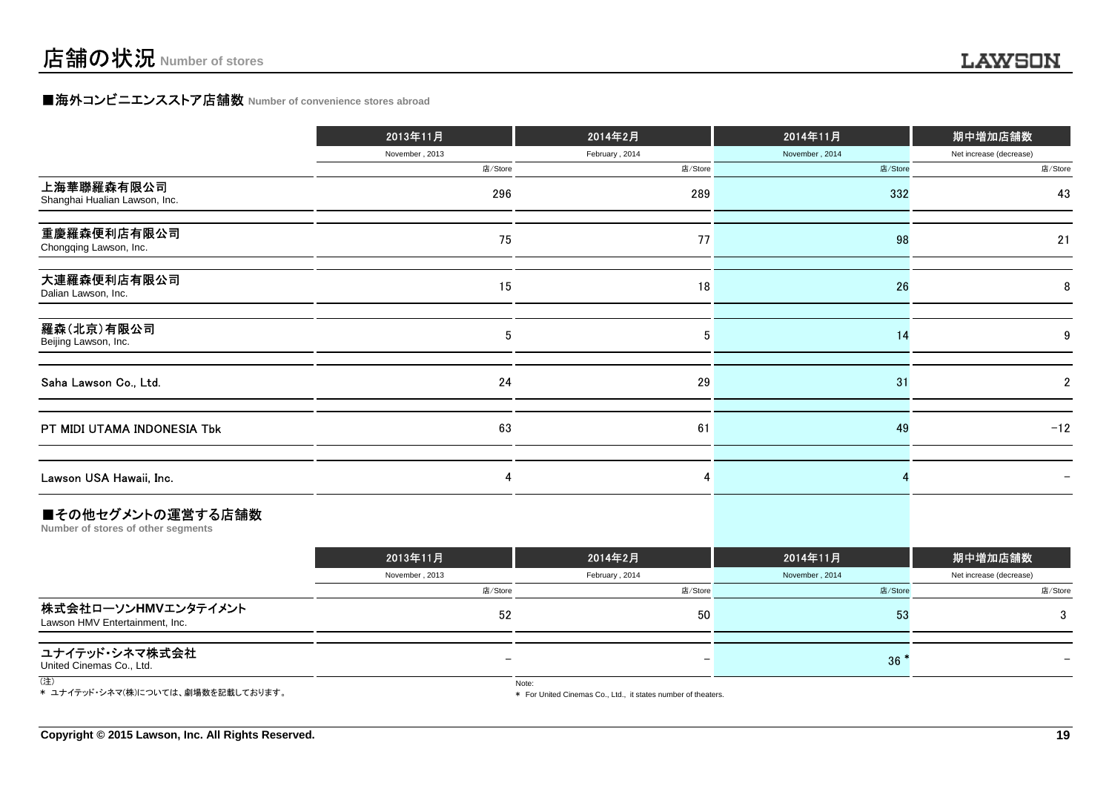## **■海外コンビニエンスストア店舗数 Number of convenience stores abroad**

|                                             | 2013年11月       | 2014年2月        | 2014年11月       | 期中増加店舗数                 |
|---------------------------------------------|----------------|----------------|----------------|-------------------------|
|                                             | November, 2013 | February, 2014 | November, 2014 | Net increase (decrease) |
|                                             | 店/Store        | 店/Store        | 店/Store        | 店/Store                 |
| 上海華聯羅森有限公司<br>Shanghai Hualian Lawson, Inc. | 296            | 289            | 332            | 43                      |
| 重慶羅森便利店有限公司<br>Chongqing Lawson, Inc.       | 75             | 77             | 98             | 21                      |
| 大連羅森便利店有限公司<br>Dalian Lawson, Inc.          | 15             | 18             | 26             | 8                       |
| 羅森(北京)有限公司<br>Beijing Lawson, Inc.          | 5              | 5              | 14             | 9                       |
| Saha Lawson Co., Ltd.                       | 24             | 29             | 31             | 2                       |
| PT MIDI UTAMA INDONESIA Tbk                 | 63             | 61             | 49             | $-12$                   |
| Lawson USA Hawaii, Inc.                     |                |                |                |                         |
|                                             |                |                |                |                         |

#### ■その他セグメントの運営する店舗数

**Number of stores of other segments**

|                                                       | 2013年11月       | 2014年2月        | 2014年11月       | 期中増加店舗数                 |
|-------------------------------------------------------|----------------|----------------|----------------|-------------------------|
|                                                       | November, 2013 | February, 2014 | November, 2014 | Net increase (decrease) |
|                                                       | 店/Store        | 店/Store        | 店/Store        | 店/Store                 |
| 株式会社ローソンHMVエンタテイメント<br>Lawson HMV Entertainment, Inc. | 52             | 50             | 53             |                         |
| ユナイテッド・シネマ株式会社<br>United Cinemas Co., Ltd.            |                | -              | 36             |                         |
| (注)                                                   |                | Note:          |                |                         |

\* ユナイテッド・シネマ(株)については、劇場数を記載しております。

\* For United Cinemas Co., Ltd., it states number of theaters.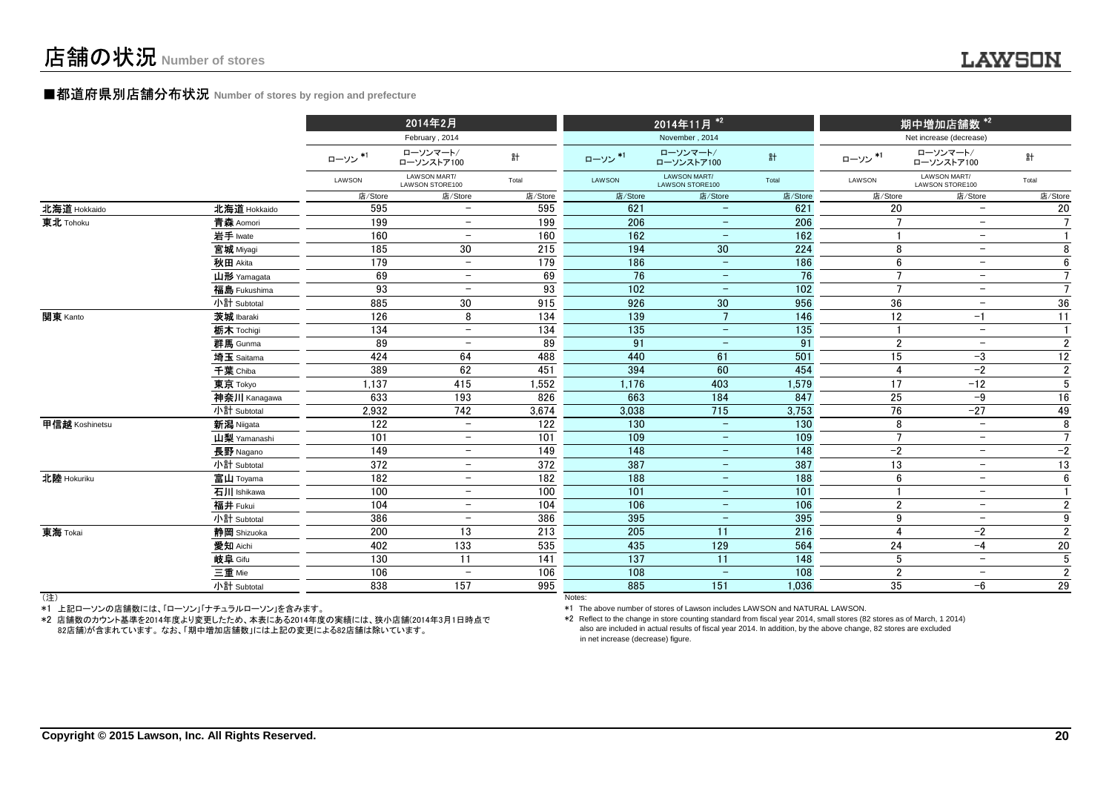### **■都道府県別店舗分布状況** Number of stores by region and prefecture

|                |              |         | 2014年2月                         |                   |         | 2014年11月 <sup>*2</sup>          |                   |                 | 期中増加店舗数 <sup>*2</sup>           |                 |
|----------------|--------------|---------|---------------------------------|-------------------|---------|---------------------------------|-------------------|-----------------|---------------------------------|-----------------|
|                |              |         | February, 2014                  |                   |         | November, 2014                  |                   |                 | Net increase (decrease)         |                 |
|                |              | ローソン*1  | ローソンマート/<br>ローソンストア100          | 計                 | ローソン*1  | ローソンマート/<br>ローソンストア100          | 計                 | ローソン*1          | ローソンマート/<br>ローソンストア100          | 計               |
|                |              | LAWSON  | LAWSON MART/<br>LAWSON STORE100 | Total             | LAWSON  | LAWSON MART/<br>LAWSON STORE100 | Total             | LAWSON          | LAWSON MART/<br>LAWSON STORE100 | Total           |
|                |              | 店/Store | 店/Store                         | 店/Store           | 店/Store | 店/Store                         | 店/Store           | 店/Store         | 店/Store                         | 店/Store         |
| 北海道 Hokkaido   | 北海道 Hokkaido | 595     | $\overline{\phantom{0}}$        | 595               | 621     |                                 | 621               | 20              | $\overline{\phantom{0}}$        | 20              |
| 東北 Tohoku      | 青森 Aomori    | 199     | $\overline{\phantom{a}}$        | 199               | 206     | $\equiv$                        | 206               | $\overline{7}$  | $-$                             | $\overline{7}$  |
|                | 岩手 Iwate     | 160     | -                               | 160               | 162     |                                 | 162               |                 | $\overline{\phantom{m}}$        | $\mathbf{1}$    |
|                | 宮城 Miyagi    | 185     | 30                              | 215               | 194     | 30                              | 224               | 8               | $\overline{\phantom{m}}$        | 8               |
|                | 秋田 Akita     | 179     | $\overline{\phantom{a}}$        | 179               | 186     |                                 | 186               | 6               | $\overline{\phantom{m}}$        | 6               |
|                | 山形 Yamagata  | 69      | $\overline{\phantom{m}}$        | 69                | 76      | $\overline{\phantom{a}}$        | 76                | $\overline{7}$  | $\overline{\phantom{m}}$        | $\overline{7}$  |
|                | 福島 Fukushima | 93      | $\overline{\phantom{a}}$        | 93                | 102     | $\overline{\phantom{0}}$        | 102               | $\overline{7}$  | -                               | $\overline{7}$  |
|                | 小計 Subtotal  | 885     | 30                              | 915               | 926     | 30                              | 956               | 36              | $\qquad \qquad -$               | 36              |
| 関東 Kanto       | 茨城 Ibaraki   | 126     | 8                               | 134               | 139     | $\overline{7}$                  | 146               | 12              | $-1$                            | $\overline{11}$ |
|                | 栃木 Tochigi   | 134     | $\overline{\phantom{a}}$        | 134               | 135     | $\overline{\phantom{m}}$        | 135               | $\overline{1}$  | $\overline{\phantom{a}}$        | $\mathbf{1}$    |
|                | 群馬 Gunma     | 89      | $\overline{\phantom{0}}$        | 89                | 91      | $\overline{\phantom{m}}$        | 91                | $\overline{2}$  | $\overline{\phantom{a}}$        | $\overline{2}$  |
|                | 埼玉 Saitama   | 424     | 64                              | 488               | 440     | 61                              | 501               | 15              | $-3$                            | $12\,$          |
|                | 千葉 Chiba     | 389     | 62                              | 451               | 394     | 60                              | 454               | $\overline{4}$  | $-2$                            | $\overline{2}$  |
|                | 東京 Tokyo     | 1,137   | 415                             | 1,552             | 1,176   | 403                             | 1,579             | 17              | $-12$                           | $\sqrt{5}$      |
|                | 神奈川 Kanagawa | 633     | 193                             | 826               | 663     | 184                             | 847               | 25              | $-9$                            | 16              |
|                | 小計 Subtotal  | 2.932   | 742                             | 3.674             | 3.038   | 715                             | 3,753             | 76              | $-27$                           | 49              |
| 甲信越 Koshinetsu | 新潟 Niigata   | 122     | $\overline{\phantom{0}}$        | 122               | 130     | $\overline{\phantom{m}}$        | 130               | 8               | $\overline{\phantom{0}}$        | 8               |
|                | 山梨 Yamanashi | 101     | $\overline{\phantom{m}}$        | 101               | 109     | $\qquad \qquad -$               | 109               | $\overline{7}$  | $\overline{\phantom{m}}$        | $\overline{7}$  |
|                | 長野 Nagano    | 149     | $\overline{\phantom{a}}$        | $\frac{149}{149}$ | 148     | $\overline{\phantom{m}}$        | $\frac{148}{148}$ | $-2$            | $\overline{\phantom{a}}$        | $-2$            |
|                | 小計 Subtotal  | 372     | $\overline{\phantom{m}}$        | 372               | 387     | $\overline{\phantom{m}}$        | 387               | 13              | $\overline{\phantom{m}}$        | $\overline{13}$ |
| 北陸 Hokuriku    | 富山 Toyama    | 182     | $\overline{\phantom{m}}$        | 182               | 188     | $\qquad \qquad -$               | 188               | 6               | $\overline{\phantom{m}}$        | 6               |
|                | 石川 Ishikawa  | 100     | $\overline{\phantom{0}}$        | 100               | 101     | $\overline{\phantom{0}}$        | 101               |                 | $\overline{\phantom{m}}$        | $\mathbf{1}$    |
|                | 福井 Fukui     | 104     | $\overline{\phantom{a}}$        | 104               | 106     | $\overline{\phantom{m}}$        | 106               | $\overline{2}$  | $\overline{\phantom{m}}$        | $\mathbf{2}$    |
|                | 小計 Subtotal  | 386     | $\overline{\phantom{a}}$        | 386               | 395     | $\overline{\phantom{m}}$        | 395               | 9               | $\overline{\phantom{a}}$        | $\overline{9}$  |
| 東海 Tokai       | 静岡 Shizuoka  | 200     | 13                              | 213               | 205     | 11                              | 216               | $\overline{4}$  | $-2$                            | $\overline{2}$  |
|                | 愛知 Aichi     | 402     | 133                             | 535               | 435     | 129                             | 564               | 24              | $-4$                            | $20\,$          |
|                | 岐阜 Gifu      | 130     | 11                              | 141               | 137     | 11                              | 148               | $5\phantom{.0}$ | $\overline{\phantom{a}}$        | $\sqrt{5}$      |
|                | 三重 Mie       | 106     | $\overline{\phantom{m}}$        | 106               | 108     | $\equiv$                        | 108               | $\overline{2}$  | $-$                             | $\overline{2}$  |
|                | 小計 Subtotal  | 838     | 157                             | 995               | 885     | 151                             | 1,036             | 35              | $-6$                            | 29              |
| (注)            |              |         |                                 |                   | Notes:  |                                 |                   |                 |                                 |                 |

(注)

\*1 上記ローソンの店舗数には、「ローソン」「ナチュラルローソン」を含みます。

 \*2 店舗数のカウント基準を2014年度より変更したため、本表にある2014年度の実績には、狭小店舗(2014年3月1日時点で82店舗)が含まれています。 なお、「期中増加店舗数」には上記の変更による82店舗は除いています。

\*1 The above number of stores of Lawson includes LAWSON and NATURAL LAWSON.

 \*2 Reflect to the change in store counting standard from fiscal year 2014, small stores (82 stores as of March, 1 2014)also are included in actual results of fiscal year 2014. In addition, by the above change, 82 stores are excludedin net increase (decrease) figure.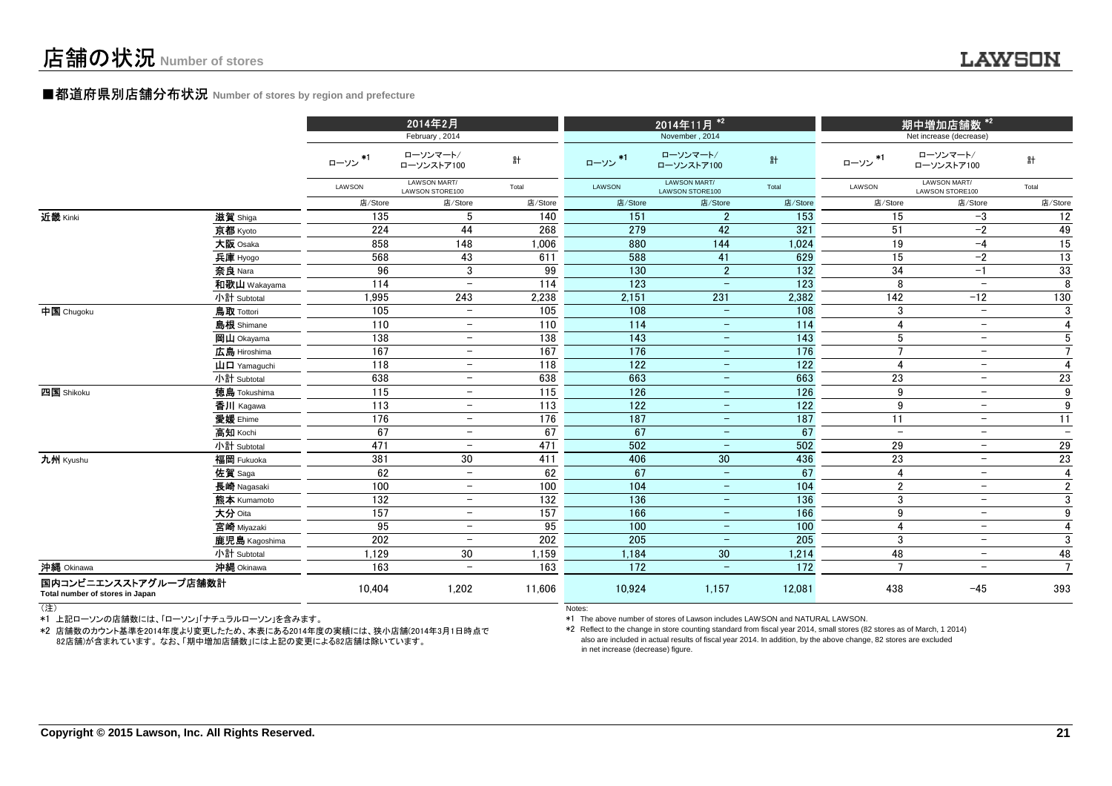#### ■都道府県別店舗分布状況 **Number of stores by region and prefecture**

|                                                         |                                                                      | 2014年2月<br>February, 2014 |                                 |         |         | 2014年11月 <sup>*2</sup><br>November, 2014 |         | 期中増加店舗数 * <sup>2</sup><br>Net increase (decrease) |                                 |                  |
|---------------------------------------------------------|----------------------------------------------------------------------|---------------------------|---------------------------------|---------|---------|------------------------------------------|---------|---------------------------------------------------|---------------------------------|------------------|
|                                                         |                                                                      | ローソン*1                    | ローソンマート/<br>ローソンストア100          | 計       | ローソン*1  | ローソンマート/<br>ローソンストア100                   | 計       | ローソン *1                                           | ローソンマート/<br>ローソンストア100          | 計                |
|                                                         |                                                                      | LAWSON                    | LAWSON MART/<br>LAWSON STORE100 | Total   | LAWSON  | LAWSON MART/<br>LAWSON STORE100          | Total   | LAWSON                                            | LAWSON MART/<br>LAWSON STORE100 | Total            |
|                                                         |                                                                      | 店/Store                   | 店/Store                         | 店/Store | 店/Store | 店/Store                                  | 店/Store | 店/Store                                           | 店/Store                         | 店/Store          |
| 近畿 Kinki                                                | 滋賀 Shiga                                                             | 135                       | 5                               | 140     | 151     | $\overline{2}$                           | 153     | 15                                                | $-3$                            | 12               |
|                                                         | 京都 Kyoto                                                             | 224                       | 44                              | 268     | 279     | 42                                       | 321     | 51                                                | $-2$                            | 49               |
|                                                         | 大阪 Osaka                                                             | 858                       | 148                             | 1,006   | 880     | 144                                      | 1,024   | 19                                                | $-4$                            | 15               |
|                                                         | 兵庫 Hyogo                                                             | 568                       | 43                              | 611     | 588     | 41                                       | 629     | 15                                                | $-2$                            | 13               |
|                                                         | 奈良 Nara                                                              | 96                        | 3                               | 99      | 130     | $\overline{2}$                           | 132     | 34                                                | $-1$                            | 33               |
|                                                         | 和歌山 Wakayama                                                         | 114                       | $\overline{\phantom{a}}$        | 114     | 123     |                                          | 123     | 8                                                 | $\overline{\phantom{m}}$        | 8                |
|                                                         | 小計 Subtotal                                                          | 1,995                     | 243                             | 2,238   | 2,151   | 231                                      | 2,382   | $\frac{142}{142}$                                 | $-12$                           | 130              |
| 中国 Chugoku                                              | <b>鳥取 Tottori</b>                                                    | 105                       | $\overline{\phantom{m}}$        | 105     | 108     | $\overline{\phantom{a}}$                 | 108     | 3                                                 | $\qquad \qquad -$               | 3                |
|                                                         | 島根 Shimane                                                           | 110                       | $\overline{\phantom{a}}$        | 110     | 114     | $\overline{\phantom{a}}$                 | 114     | $\overline{4}$                                    | $\overline{\phantom{a}}$        | $\overline{4}$   |
|                                                         | 岡山 Okayama                                                           | 138                       | $\overline{\phantom{a}}$        | 138     | 143     | $\overline{\phantom{a}}$                 | 143     | 5                                                 | $\overline{\phantom{a}}$        | $\sqrt{5}$       |
|                                                         | 広島 Hiroshima                                                         | 167                       | $\overline{\phantom{m}}$        | 167     | 176     | $\overline{\phantom{m}}$                 | 176     | $\overline{7}$                                    | $\overline{\phantom{a}}$        | $\overline{7}$   |
|                                                         | $\mathbf{\mathbf{\mathsf{u}}}\mathbf{\mathsf{\mathsf{u}}}$ Yamaquchi | 118                       | $\equiv$                        | 118     | 122     | $\overline{\phantom{m}}$                 | 122     | $\overline{4}$                                    | $\overline{\phantom{a}}$        | $\overline{4}$   |
|                                                         | 小計 Subtotal                                                          | 638                       | $\overline{\phantom{a}}$        | 638     | 663     | $\overline{\phantom{m}}$                 | 663     | 23                                                | $\overline{\phantom{a}}$        | 23               |
| 四国 Shikoku                                              | <b>徳島</b> Tokushima                                                  | 115                       | $\overline{\phantom{a}}$        | 115     | 126     |                                          | 126     | 9                                                 | $\overline{\phantom{0}}$        | 9                |
|                                                         | 香川 Kagawa                                                            | 113                       | $\overline{\phantom{a}}$        | 113     | 122     | $\overline{\phantom{m}}$                 | 122     | 9                                                 | $\overline{\phantom{a}}$        | 9                |
|                                                         | 愛媛 Ehime                                                             | 176                       | $\overline{\phantom{m}}$        | 176     | 187     |                                          | 187     | 11                                                | $\overline{\phantom{0}}$        | 11               |
|                                                         | 高知 Kochi                                                             | 67                        | $\equiv$                        | 67      | 67      | $\qquad \qquad -$                        | 67      | $\bar{\phantom{a}}$                               | $\overline{\phantom{0}}$        | $\equiv$         |
|                                                         | 小計 Subtotal                                                          | 471                       | $\overline{\phantom{a}}$        | 471     | 502     |                                          | 502     | 29                                                | $\qquad \qquad -$               | 29               |
| 九州 Kyushu                                               | 福岡 Fukuoka                                                           | 381                       | 30                              | 411     | 406     | 30                                       | 436     | $\overline{23}$                                   | $\overline{\phantom{0}}$        | 23               |
|                                                         | 佐賀 Saga                                                              | 62                        | $\overline{\phantom{m}}$        | 62      | 67      | $\overline{\phantom{m}}$                 | 67      | $\overline{4}$                                    | $-$                             | $\overline{4}$   |
|                                                         | 長崎 Nagasaki                                                          | 100                       | $\overline{\phantom{a}}$        | 100     | 104     | $\overline{\phantom{a}}$                 | 104     | $\overline{2}$                                    | $\overline{\phantom{0}}$        | $\overline{2}$   |
|                                                         | 熊本 Kumamoto                                                          | 132                       | $\overline{\phantom{m}}$        | 132     | 136     | $\overline{\phantom{0}}$                 | 136     | 3                                                 | $\overline{\phantom{m}}$        | $\sqrt{3}$       |
|                                                         | 大分 Oita                                                              | 157                       | $\overline{\phantom{a}}$        | 157     | 166     |                                          | 166     | 9                                                 | $\overline{\phantom{0}}$        | $\boldsymbol{9}$ |
|                                                         | 宮崎 Miyazaki                                                          | 95                        | $\overline{\phantom{a}}$        | 95      | 100     |                                          | 100     | $\overline{4}$                                    | $\overline{\phantom{0}}$        | 4                |
|                                                         | 鹿児島 Kagoshima                                                        | 202                       | $\overline{\phantom{m}}$        | 202     | 205     |                                          | 205     | 3                                                 | -                               | 3                |
|                                                         | 小計 Subtotal                                                          | 1,129                     | 30                              | 1,159   | 1,184   | 30                                       | 1,214   | 48                                                | $\overline{\phantom{a}}$        | 48               |
| 沖縄 Okinawa                                              | 沖縄 Okinawa                                                           | 163                       |                                 | 163     | 172     |                                          | 172     | $\overline{7}$                                    | $\overline{\phantom{0}}$        | $\overline{7}$   |
| 国内コンビニエンスストアグループ店舗数計<br>Total number of stores in Japan |                                                                      | 10.404                    | 1,202                           | 11,606  | 10,924  | 1,157                                    | 12,081  | 438                                               | $-45$                           | 393              |

(注)

\*1 上記ローソンの店舗数には、「ローソン」「ナチュラルローソン」を含みます。

 \*2 店舗数のカウント基準を2014年度より変更したため、本表にある2014年度の実績には、狭小店舗(2014年3月1日時点で82店舗)が含まれています。 なお、「期中増加店舗数」には上記の変更による82店舗は除いています。

Notes:

\*1 The above number of stores of Lawson includes LAWSON and NATURAL LAWSON.

 \*2 Reflect to the change in store counting standard from fiscal year 2014, small stores (82 stores as of March, 1 2014)also are included in actual results of fiscal year 2014. In addition, by the above change, 82 stores are excludedin net increase (decrease) figure.